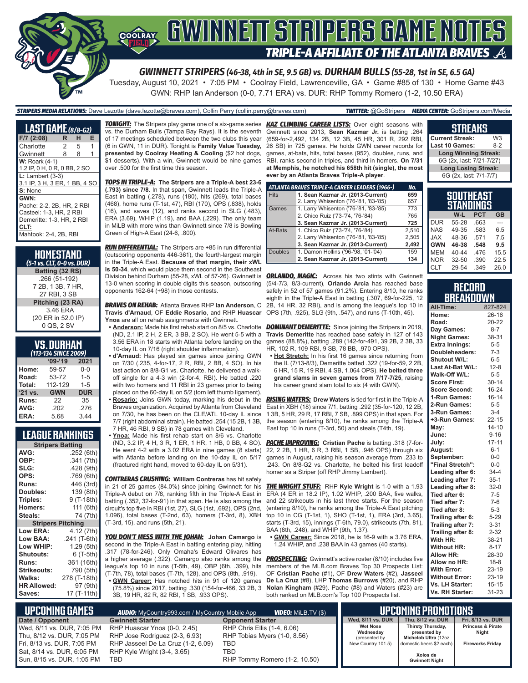# **SOORAY LAWUNNETT STANLERE GANNE NOTES TRIPLE-A AFFILIATE OF THE ATLANTA BRAVES**

*GWINNETT STRIPERS (46-38, 4th in SE, 9.5 GB) vs. DURHAM BULLS (55-28, 1st in SE, 6.5 GA)*

Tuesday, August 10, 2021 • 7:05 PM • Coolray Field, Lawrenceville, GA • Game #85 of 130 • Home Game #43 GWN: RHP Ian Anderson (0-0, 7.71 ERA) vs. DUR: RHP Tommy Romero (1-2, 10.50 ERA)

*STRIPERS MEDIA RELATIONS:* Dave Lezotte (dave.lezotte@braves.com), Collin Perry (collin.perry@braves.com) *TWITTER:* @GoStripers *MEDIA CENTER:* GoStripers.com/Media

| <b>LAST GAME</b> (8/8-G2)     |   |    |   |  |
|-------------------------------|---|----|---|--|
| $F/7$ (2:08)                  | R | н  | F |  |
| Charlotte                     | 2 | -5 | 1 |  |
| Gwinnett                      | 8 | 8  | 1 |  |
| <b>W: Roark (4-1)</b>         |   |    |   |  |
| 1.2 IP, 0 H, 0 R, 0 BB, 2 SO  |   |    |   |  |
| $L:$ Lambert $(3-3)$          |   |    |   |  |
| 3.1 IP, 3 H, 3 ER, 1 BB, 4 SO |   |    |   |  |
| S: None                       |   |    |   |  |
| GWN:                          |   |    |   |  |
| Pache: 2-2, 2B, HR, 2 RBI     |   |    |   |  |
| Casteel: 1-3. HR. 2 RBI       |   |    |   |  |
| Demeritte: 1-3. HR. 2 RBI     |   |    |   |  |
| CLT:                          |   |    |   |  |
| Mahtook: 2-4, 2B, RBI         |   |    |   |  |

| HOMESTAND<br>(5-1 vs. CLT, 0-0 vs. DUR) |
|-----------------------------------------|
| Batting (32 RS)                         |
| .266 (51-192)                           |
| 7 2B, 1 3B, 7 HR,                       |
| 27 RBI. 3 SB                            |
| Pitching (23 RA)                        |
| 3.46 ERA                                |
| (20 ER in 52.0 IP)                      |
| 0 QS, 2 SV                              |

| VS. DURHAM          |  |  |
|---------------------|--|--|
| 1112-121 SINCE 2000 |  |  |

| (113-134 SINCE 2009) |            |            |  |  |  |  |
|----------------------|------------|------------|--|--|--|--|
|                      | $09 - 19$  | 2021       |  |  |  |  |
| Home:                | 59-57      | $0 - 0$    |  |  |  |  |
| Road:                | 53-72      | $1 - 5$    |  |  |  |  |
| Total:               | 112-129    | $1 - 5$    |  |  |  |  |
| '21 vs.              | <b>GWN</b> | <b>DUR</b> |  |  |  |  |
| Runs:                | 22         | 35         |  |  |  |  |
| AVG:                 | .202       | .276       |  |  |  |  |
| ERA:                 | 5.68       | 3.44       |  |  |  |  |

## **LEAGUE RANKINGS**

| <b>Stripers Batting</b>  |              |  |  |  |  |  |
|--------------------------|--------------|--|--|--|--|--|
| AVG:                     | .252 (6th)   |  |  |  |  |  |
| OBP:                     | .341 (7th)   |  |  |  |  |  |
| SLG:                     | .428 (9th)   |  |  |  |  |  |
| OPS:                     | .769(6th)    |  |  |  |  |  |
| <b>Runs:</b>             | 446 (3rd)    |  |  |  |  |  |
| Doubles:                 | 139 (8th)    |  |  |  |  |  |
| Triples:                 | 9 (T-18th)   |  |  |  |  |  |
| <b>Homers:</b>           | 111 (6th)    |  |  |  |  |  |
| Steals:                  | 74 (7th)     |  |  |  |  |  |
| <b>Stripers Pitching</b> |              |  |  |  |  |  |
|                          |              |  |  |  |  |  |
| <b>Low ERA:</b>          | 4.12 (7th)   |  |  |  |  |  |
| Low BAA:                 | .241 (T-6th) |  |  |  |  |  |
| Low WHIP:                | 1.29 (5th)   |  |  |  |  |  |
| <b>Shutouts:</b>         | 6 (T-5th)    |  |  |  |  |  |
| Runs:                    | 361 (16th)   |  |  |  |  |  |
| Strikeouts:              | 790 (5th)    |  |  |  |  |  |
| Walks:                   | 278 (T-18th) |  |  |  |  |  |
| <b>HR Allowed:</b>       | 97 (9th)     |  |  |  |  |  |

vs. the Durham Bulls (Tampa Bay Rays). It is the seventh of 17 meetings scheduled between the two clubs this year (6 in GWN, 11 in DUR). Tonight is **Family Value Tuesday, presented by Coolray Heating & Cooling** (\$2 hot dogs, \$1 desserts). With a win, Gwinnett would be nine games over .500 for the first time this season.

*TOPS IN TRIPLE-A:* **The Stripers are a Triple-A best 23-6 (.793) since 7/8**. In that span, Gwinnett leads the Triple-A East in batting (.278), runs (180), hits (269), total bases (468), home runs (T-1st, 47), RBI (170), OPS (.838), holds (16), and saves (12), and ranks second in SLG (.483), ERA (3.69), WHIP (1.19), and BAA (.229). The only team in MiLB with more wins than Gwinnett since 7/8 is Bowling Green of High-A East (24-6, .800).

*RUN DIFFERENTIAL:* The Stripers are +85 in run differential (outscoring opponents 446-361), the fourth-largest margin in the Triple-A East. **Because of that margin, their xWL is 50-34**, which would place them second in the Southeast Division behind Durham (55-28, xWL of 57-26). Gwinnett is *ORLANDO, MAGIC:* Across his two stints with Gwinnett 13-0 when scoring in double digits this season, outscoring opponents 162-64 (+98) in those contests.

*BRAVES ON REHAB:* Atlanta Braves RHP **Ian Anderson**, C **Travis d'Arnaud**, OF **Eddie Rosario**, and RHP **Huascar Ynoa** are all on rehab assignments with Gwinnett.

**• Anderson:** Made his first rehab start on 8/5 vs. Charlotte (ND, 2.1 IP, 2 H, 2 ER, 3 BB, 2 SO). He went 5-5 with a 3.56 ERA in 18 starts with Atlanta before landing on the 10-day IL on 7/16 (right shoulder inflammation).

**• d'Arnaud:** Has played six games since joining GWN on 7/30 (.235, 4-for-17, 2 R, RBI, 2 BB, 4 SO). In his last action on 8/8-G1 vs. Charlotte, he delivered a walkoff single for a 4-3 win (2-for-4, RBI). He batted .220 with two homers and 11 RBI in 23 games prior to being placed on the 60-day IL on 5/2 (torn left thumb ligament). **• Rosario:** Joins GWN today, marking his debut in the Braves organization. Acquired by Atlanta from Cleveland on 7/30, he has been on the CLE/ATL 10-day IL since 7/7 (right abdominal strain). He batted .254 (15 2B, 1 3B, 7 HR, 46 RBI, 9 SB) in 78 games with Cleveland.

**• Ynoa:** Made his first rehab start on 8/6 vs. Charlotte (ND, 3.2 IP, 4 H, 3 R, 1 ER, 1 HR, 1 HB, 0 BB, 4 SO). He went 4-2 with a 3.02 ERA in nine games (8 starts) with Atlanta before landing on the 10-day IL on 5/17 (fractured right hand, moved to 60-day IL on 5/31).

*CONTRERAS CRUSHING:* **William Contreras** has hit safely in 21 of 25 games (84.0%) since joining Gwinnett for his Triple-A debut on 7/8, ranking fifth in the Triple-A East in batting (.352, 32-for-91) in that span. He is also among the circuit's top five in RBI (1st, 27), SLG (1st, .692), OPS (2nd, 1.096), total bases (T-2nd, 63), homers (T-3rd, 8), XBH (T-3rd, 15), and runs (5th, 21).

*YOU DON'T MESS WITH THE JOHAN:* **Johan Camargo** is second in the Triple-A East in batting entering play, hitting .317 (78-for-246). Only Omaha's Edward Olivares has a higher average (.322). Camargo also ranks among the league's top 10 in runs (T-5th, 49), OBP (6th, .399), hits (T-7th, 78), total bases (T-7th, 128), and OPS (8th, .919). **• GWN Career:** Has notched hits in 91 of 120 games

(75.8%) since 2017, batting .330 (154-for-466, 33 2B, 3 3B, 19 HR, 82 R, 82 RBI, 1 SB, .933 OPS).

*TONIGHT:* The Stripers play game one of a six-game series *KAZ CLIMBING CAREER LISTS:* Over eight seasons with Gwinnett since 2013, **Sean Kazmar Jr.** is batting .264 (659-for-2,492, 134 2B, 12 3B, 45 HR, 301 R, 292 RBI, 26 SB) in 725 games. He holds GWN career records for games, at-bats, hits, total bases (952), doubles, runs, and RBI, ranks second in triples, and third in homers. **On 7/31 at Memphis, he notched his 658th hit (single), the most ever by an Atlanta Braves Triple-A player**.

|                | ATLANTA BRAVES TRIPLE-A CAREER LEADERS (1966-) | No.   |
|----------------|------------------------------------------------|-------|
| <b>Hits</b>    | 1. Sean Kazmar Jr. (2013-Current)              | 659   |
|                | 2. Larry Whisenton ('76-'81, '83-'85)          | 657   |
| Games          | 1. Larry Whisenton ('76-'81, '83-'85)          | 773   |
|                | 2. Chico Ruiz ('73-'74, '76-'84)               | 765   |
|                | 3. Sean Kazmar Jr. (2013-Current)              | 725   |
| At-Bats        | 1. Chico Ruiz ('73-'74, '76-'84)               | 2.510 |
|                | 2. Larry Whisenton ('76-'81, '83-'85)          | 2,505 |
|                | 3. Sean Kazmar Jr. (2013-Current)              | 2,492 |
| <b>Doubles</b> | 1. Damon Hollins ('96-'98, '01-'04)            | 159   |
|                | 2. Sean Kazmar Jr. (2013-Current)              | 134   |

(5/4-7/3, 8/3-current), **Orlando Arcia** has reached base safely in 52 of 57 games (91.2%). Entering 8/10, he ranks eighth in the Triple-A East in batting (.307, 69-for-225, 12 2B, 14 HR, 32 RBI), and is among the league's top 10 in OPS (7th, .925), SLG (9th, .547), and runs (T-10th, 45).

**DOMINANT DEMERITTE:** Since joining the Stripers in 2019, **Travis Demeritte** has reached base safely in 127 of 143 games (88.8%), batting .289 (142-for-491, 39 2B, 2 3B, 33 HR, 102 R, 109 RBI, 9 SB, 78 BB, .970 OPS).

**• Hot Stretch:** In his first 16 games since returning from the IL (7/13-8/3), Demeritte batted .322 (19-for-59, 2 2B, 6 HR, 15 R, 19 RBI, 4 SB, 1.064 OPS). **He belted three grand slams in seven games from 7/17-7/25**, raising his career grand slam total to six (4 with GWN).

*RISING WATERS:* **Drew Waters** is tied for first in the Triple-A East in XBH (18) since 7/1, batting .292 (35-for-120, 12 2B, 1 3B, 5 HR, 29 R, 17 RBI, 7 SB, .899 OPS) in that span. For the season (entering 8/10), he ranks among the Triple-A East top 10 in runs (T-3rd, 50) and steals (T4th, 19).

*PACHE IMPROVING:* **Cristian Pache** is batting .318 (7-for-22, 2 2B, 1 HR, 6 R, 3 RBI, 1 SB, .946 OPS) through six games in August, raising his season average from .233 to .243. On 8/8-G2 vs. Charlotte, he belted his first leadoff homer as a Striper (off RHP Jimmy Lambert).

*THE WRIGHT STUFF:* RHP **Kyle Wright** is 1-0 with a 1.93 ERA (4 ER in 18.2 IP), 1.02 WHIP, .200 BAA, five walks, and 22 strikeouts in his last three starts. For the season (entering 8/10), he ranks among the Triple-A East pitching top 10 in CG (T-1st, 1), SHO (T-1st, 1), ERA (3rd, 3.65), starts (T-3rd, 15), innings (T-6th, 79.0), strikeouts (7th, 81), BAA (8th, .248), and WHIP (9th, 1.37).

**• GWN Career:** Since 2018, he is 16-9 with a 3.76 ERA, 1.24 WHIP, and .238 BAA in 43 games (40 starts).

**PROSPECTING:** Gwinnett's active roster (8/10) includes five members of the MLB.com Braves Top 30 Prospects List: OF **Cristian Pache** (#1), OF **Drew Waters** (#2), **Jasseel De La Cruz** (#8), LHP **Thomas Burrows** (#20), and RHP **Nolan Kingham** (#29). Pache (#8) and Waters (#23) are both ranked on MLB.com's Top 100 Prospects list.

#### **Current Streak:** W3<br>**Last 10 Games:** 8-2 **Last 10 Games: Long Winning Streak:** 6G (2x, last: 7/21-7/27) **Long Losing Streak:** 6G (2x, last: 7/1-7/7)

**STREAKS**

| SOUTHEAST<br>STANDINGS |       |      |           |  |  |
|------------------------|-------|------|-----------|--|--|
|                        | W-L   | PCT  | <b>GB</b> |  |  |
| <b>DUR</b>             | 55-28 | .663 |           |  |  |
| <b>NAS</b>             | 49-35 | .583 | 6.5       |  |  |
| <b>XAL</b>             | 48-36 | .571 | 7.5       |  |  |
| <b>GWN</b>             | 46-38 | .548 | 9.5       |  |  |
| <b>MEM</b>             | 40-44 | .476 | 15.5      |  |  |
| <b>NOR</b>             | 32-50 | .390 | 22.5      |  |  |
| <b>CLT</b>             | 29-54 | .349 | 26.0      |  |  |

#### **RECORD BREAKDOWN**

| All-Time:             | 827-824   |
|-----------------------|-----------|
| Home:                 | $26 - 16$ |
| Road:                 | 20-22     |
| Day Games:            | $8 - 7$   |
| <b>Night Games:</b>   | 38-31     |
| <b>Extra Innings:</b> | $5 - 5$   |
| Doubleheaders:        | $7-3$     |
| Shutout W/L:          | $6 - 5$   |
| Last At-Bat W/L:      | $12 - 8$  |
| Walk-Off W/L:         | $5 - 5$   |
| <b>Score First:</b>   | $30 - 14$ |
| <b>Score Second:</b>  | 16-24     |
| 1-Run Games:          | $16 - 14$ |
| 2-Run Games:          | $5 - 5$   |
| 3-Run Games:          | $3 - 4$   |
| +3-Run Games:         | $22 - 15$ |
| May:                  | $14 - 10$ |
| June:                 | $9 - 16$  |
| July:                 | $17 - 11$ |
| August:               | $6 - 1$   |
| September:            | $0-0$     |
| "Final Stretch":      | $0-0$     |
| Leading after 6:      | $34 - 4$  |
| Leading after 7:      | $35-1$    |
| Leading after 8:      | $32-0$    |
| Tied after 6:         | $7-5$     |
| Tied after 7:         | $7-6$     |
| Tied after 8:         | $5 - 3$   |
| Trailing after 6:     | $5 - 29$  |
| Trailing after 7:     | $3 - 31$  |
| Trailing after 8:     | $2 - 32$  |
| With HR:              | 38-21     |
| <b>Without HR:</b>    | $8 - 17$  |
| <b>Allow HR:</b>      | 28-30     |
| Allow no HR:          | $18 - 8$  |
| <b>With Error:</b>    | 23-19     |
| <b>Without Error:</b> | 23-19     |
| Vs. LH Starter:       | $15 - 15$ |
| Vs. RH Starter:       | 31-23     |

| L UPCOMING GAMES I<br><b>VIDEO: MILB.TV (\$)</b><br><b>AUDIO:</b> MyCountry993.com / MyCountry Mobile App |                                    |                               |  | <b>UPCOMING PROMOTIONS</b>   |                                          |
|-----------------------------------------------------------------------------------------------------------|------------------------------------|-------------------------------|--|------------------------------|------------------------------------------|
| Date / Opponent                                                                                           | <b>Gwinnett Starter</b>            | <b>Opponent Starter</b>       |  | Wed, 8/11 vs. DUR            | Thu. 8/12 vs. DUR                        |
| Wed, 8/11 vs. DUR, 7:05 PM                                                                                | RHP Huascar Ynoa (0-0, 2.45)       | RHP Chris Ellis (1-4, 6.06)   |  | <b>Wet Nose</b><br>Wednesday | <b>Thirsty Thursday,</b><br>presented by |
| Thu, 8/12 vs. DUR, 7:05 PM                                                                                | RHP Jose Rodriguez (2-3, 6.93)     | RHP Tobias Myers (1-0, 8.56)  |  | (presented by                | Michelob Ultra (12oz                     |
| Fri, 8/13 vs. DUR, 7:05 PM                                                                                | RHP Jasseel De La Cruz (1-2, 6.09) | TBD                           |  | New Country 101.5)           | domestic beers \$2 each)                 |
| Sat, 8/14 vs. DUR, 6:05 PM                                                                                | RHP Kyle Wright (3-4, 3.65)        | TBD                           |  |                              | Xolos de                                 |
| Sun, 8/15 vs. DUR, 1:05 PM                                                                                | TBD                                | RHP Tommy Romero (1-2, 10.50) |  |                              | <b>Gwinnett Night</b>                    |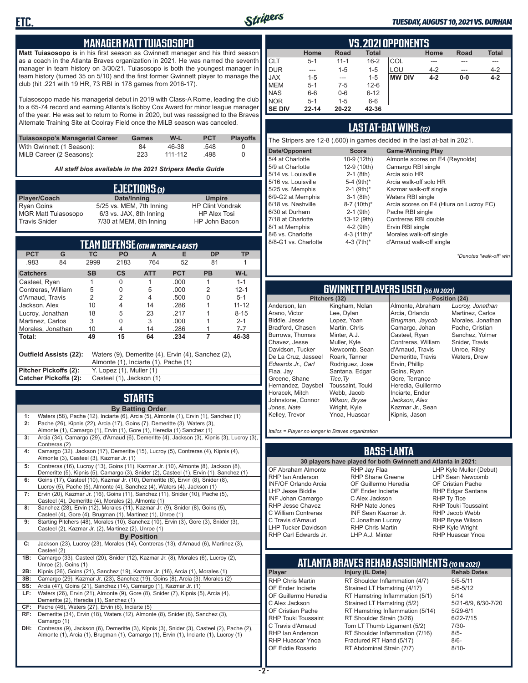

#### *TUESDAY, AUGUST 10, 2021 VS. DURHAM*

### **MANAGER MATT TUIASOSOPO**

**Matt Tuiasosopo** is in his first season as Gwinnett manager and his third season as a coach in the Atlanta Braves organization in 2021. He was named the seventh manager in team history on 3/30/21. Tuiasosopo is both the youngest manager in team history (turned 35 on 5/10) and the first former Gwinnett player to manage the club (hit .221 with 19 HR, 73 RBI in 178 games from 2016-17).

Tuiasosopo made his managerial debut in 2019 with Class-A Rome, leading the club to a 65-74 record and earning Atlanta's Bobby Cox Award for minor league manager of the year. He was set to return to Rome in 2020, but was reassigned to the Braves Alternate Training Site at Coolray Field once the MiLB season was canceled.

| Tuiasosopo's Managerial Career | Games | W-L     | <b>PCT</b> | <b>Plavoffs</b> |
|--------------------------------|-------|---------|------------|-----------------|
| With Gwinnett (1 Season):      | 84    | 46-38   | .548       |                 |
| MiLB Career (2 Seasons):       | 223   | 111-112 | .498       |                 |

*All staff bios available in the 2021 Stripers Media Guide*

| EJECTIONS (3)              |                          |                         |  |  |  |
|----------------------------|--------------------------|-------------------------|--|--|--|
| Player/Coach               | Date/Inning              | <b>Umpire</b>           |  |  |  |
| <b>Ryan Goins</b>          | 5/25 vs. MEM, 7th Inning | <b>HP Clint Vondrak</b> |  |  |  |
| <b>MGR Matt Tuiasosopo</b> | 6/3 vs. JAX, 8th Inning  | <b>HP Alex Tosi</b>     |  |  |  |
| Travis Snider              | 7/30 at MEM, 8th Inning  | HP John Bacon           |  |  |  |

| TEAM DEFENSE (GTH IN TRIPLE-A EAST)                                                                                  |                                                   |                |               |            |            |           |           |
|----------------------------------------------------------------------------------------------------------------------|---------------------------------------------------|----------------|---------------|------------|------------|-----------|-----------|
| <b>PCT</b>                                                                                                           | G                                                 | ТC             | <b>PO</b>     | A          | Е          | <b>DP</b> | ΤP        |
| .983                                                                                                                 | 84                                                | 2999           | 2183          | 764        | 52         | 81        |           |
| <b>Catchers</b>                                                                                                      |                                                   | <b>SB</b>      | $\mathsf{cs}$ | <b>ATT</b> | <b>PCT</b> | <b>PB</b> | W-L       |
| Casteel, Ryan                                                                                                        |                                                   |                | O             |            | .000.      |           | $1 - 1$   |
| Contreras, William                                                                                                   |                                                   | 5              | 0             | 5          | .000       | 2         | $12 - 1$  |
| d'Arnaud, Travis                                                                                                     |                                                   | $\overline{2}$ | 2             | 4          | .500       | U         | $5 - 1$   |
| Jackson, Alex                                                                                                        |                                                   | 10             | 4             | 14         | .286       |           | $11 - 12$ |
| Lucroy, Jonathan                                                                                                     |                                                   | 18             | 5             | 23         | .217       |           | $8 - 15$  |
| Martinez, Carlos                                                                                                     |                                                   | 3              | 0             | 3          | .000       |           | $2 - 1$   |
| Morales, Jonathan                                                                                                    |                                                   | 10             | 4             | 14         | .286       |           | $7 - 7$   |
| Total:                                                                                                               |                                                   | 49             | 15            | 64         | .234       | 7         | 46-38     |
| Outfield Assists (22):<br>Waters (9), Demeritte (4), Ervin (4), Sanchez (2),<br>Almonte (1), Inciarte (1), Pache (1) |                                                   |                |               |            |            |           |           |
|                                                                                                                      | Pitcher Pickoffs (2):<br>Y. Lopez (1), Muller (1) |                |               |            |            |           |           |
| Catcher Pickoffs (2):<br>Casteel (1), Jackson (1)                                                                    |                                                   |                |               |            |            |           |           |

# **STARTS**

|     | <b>By Batting Order</b>                                                                     |
|-----|---------------------------------------------------------------------------------------------|
| 1:  | Waters (58), Pache (12), Inciarte (6), Arcia (5), Almonte (1), Ervin (1), Sanchez (1)       |
| 2:  | Pache (26), Kipnis (22), Arcia (17), Goins (7), Demeritte (3), Waters (3),                  |
|     | Almonte (1), Camargo (1), Ervin (1), Gore (1), Heredia (1) Sanchez (1)                      |
| 3:  | Arcia (34), Camargo (29), d'Arnaud (6), Demeritte (4), Jackson (3), Kipnis (3), Lucroy (3), |
|     | Contreras (2)                                                                               |
| 4:  | Camargo (32), Jackson (17), Demeritte (15), Lucroy (5), Contreras (4), Kipnis (4),          |
|     | Almonte (3), Casteel (3), Kazmar Jr. (1)                                                    |
| 5:  | Contreras (16), Lucroy (13), Goins (11), Kazmar Jr. (10), Almonte (8), Jackson (8),         |
|     | Demeritte (5), Kipnis (5), Camargo (3), Snider (2), Casteel (1), Ervin (1), Sanchez (1)     |
| 6:  | Goins (17), Casteel (10), Kazmar Jr. (10), Demeritte (8), Ervin (8), Snider (8),            |
|     | Lucroy (5), Pache (5), Almonte (4), Sanchez (4), Waters (4), Jackson (1)                    |
| 7:  | Ervin (20), Kazmar Jr. (16), Goins (11), Sanchez (11), Snider (10), Pache (5),              |
|     | Casteel (4), Demeritte (4), Morales (2), Almonte (1)                                        |
| 8:  | Sanchez (28), Ervin (12), Morales (11), Kazmar Jr. (9), Snider (8), Goins (5),              |
|     | Casteel (4), Gore (4), Brugman (1), Martinez (1), Unroe (1)                                 |
| 9:  | Starting Pitchers (48), Morales (10), Sanchez (10), Ervin (3), Gore (3), Snider (3),        |
|     | Casteel (2), Kazmar Jr. (2), Martinez (2), Unroe (1)                                        |
|     | <b>By Position</b>                                                                          |
| C:  | Jackson (23), Lucroy (23), Morales (14), Contreras (13), d'Arnaud (6), Martinez (3),        |
|     | Casteel (2)                                                                                 |
| 1B: | Camargo (33), Casteel (20), Snider (12), Kazmar Jr. (8), Morales (6), Lucroy (2),           |
|     | Unroe (2), Goins (1)                                                                        |
| 2B: | Kipnis (26), Goins (21), Sanchez (19), Kazmar Jr. (16), Arcia (1), Morales (1)              |
| 3B: | Camargo (29), Kazmar Jr. (23), Sanchez (19), Goins (8), Arcia (3), Morales (2)              |
| SS: | Arcia (47), Goins (21), Sanchez (14), Camargo (1), Kazmar Jr. (1)                           |
| LF: | Waters (26), Ervin (21), Almonte (9), Gore (8), Snider (7), Kipnis (5), Arcia (4),          |
|     | Demeritte (2), Heredia (1), Sanchez (1)                                                     |
| CF: | Pache (46), Waters (27), Ervin (6), Inciarte (5)                                            |
| RF: | Demeritte (34), Ervin (18), Waters (12), Almonte (8), Snider (8), Sanchez (3),              |
|     | Camargo (1)                                                                                 |
| DH: | Contreras (9), Jackson (6), Demeritte (3), Kipnis (3), Snider (3), Casteel (2), Pache (2),  |
|     | Almonte (1), Arcia (1), Brugman (1), Camargo (1), Ervin (1), Inciarte (1), Lucroy (1)       |
|     |                                                                                             |
|     |                                                                                             |

|               | VS. 2021 OPPONENTS                                                         |          |          |               |         |       |         |  |  |  |  |  |  |
|---------------|----------------------------------------------------------------------------|----------|----------|---------------|---------|-------|---------|--|--|--|--|--|--|
|               | <b>Total</b><br><b>Total</b><br>Home<br>Home<br><b>Road</b><br><b>Road</b> |          |          |               |         |       |         |  |  |  |  |  |  |
| <b>CLT</b>    | $5 - 1$                                                                    | $11 - 1$ | $16 - 2$ | COL           |         |       | ---     |  |  |  |  |  |  |
| <b>DUR</b>    | ---                                                                        | $1 - 5$  | $1 - 5$  | LOU           | $4 - 2$ | ---   | $4 - 2$ |  |  |  |  |  |  |
| <b>JAX</b>    | $1 - 5$                                                                    | ---      | $1 - 5$  | <b>MW DIV</b> | $4 - 2$ | $0-0$ | $4 - 2$ |  |  |  |  |  |  |
| <b>MEM</b>    | $5 - 1$                                                                    | 7-5      | $12 - 6$ |               |         |       |         |  |  |  |  |  |  |
| <b>NAS</b>    | $6-6$                                                                      | $0-6$    | $6 - 12$ |               |         |       |         |  |  |  |  |  |  |
| <b>NOR</b>    | $5 - 1$                                                                    | $1 - 5$  | $6-6$    |               |         |       |         |  |  |  |  |  |  |
| <b>SE DIV</b> | $22 - 14$                                                                  | 20-22    | 42-36    |               |         |       |         |  |  |  |  |  |  |

## **LAST AT-BAT WINS** *(12)*

| The Stripers are 12-8 (.600) in games decided in the last at-bat in 2021.                                                                                                                                                       |                                                                                                                                                                                    |                                                                                                                                                                                                                                                                                       |  |  |  |  |  |  |  |
|---------------------------------------------------------------------------------------------------------------------------------------------------------------------------------------------------------------------------------|------------------------------------------------------------------------------------------------------------------------------------------------------------------------------------|---------------------------------------------------------------------------------------------------------------------------------------------------------------------------------------------------------------------------------------------------------------------------------------|--|--|--|--|--|--|--|
| Date/Opponent                                                                                                                                                                                                                   | <b>Score</b>                                                                                                                                                                       | <b>Game-Winning Play</b>                                                                                                                                                                                                                                                              |  |  |  |  |  |  |  |
| 5/4 at Charlotte<br>5/9 at Charlotte<br>5/14 vs. Louisville<br>5/16 vs. Louisville<br>5/25 vs. Memphis<br>6/9-G2 at Memphis<br>6/18 vs. Nashville<br>6/30 at Durham<br>7/18 at Charlotte<br>8/1 at Memphis<br>8/6 vs. Charlotte | 10-9 (12th)<br>12-9 (10th)<br>$2-1$ (8th)<br>5-4 $(9th)*$<br>$2-1$ (9th) <sup>*</sup><br>$3-1$ (8th)<br>8-7 (10th)*<br>$2-1$ (9th)<br>13-12 (9th)<br>$4-2$ (9th)<br>4-3 $(11th)^*$ | Almonte scores on E4 (Reynolds)<br>Camargo RBI single<br>Arcia solo HR<br>Arcia walk-off solo HR<br>Kazmar walk-off single<br>Waters RBI single<br>Arcia scores on E4 (Hiura on Lucroy FC)<br>Pache RBI single<br>Contreras RBI double<br>Ervin RBI single<br>Morales walk-off single |  |  |  |  |  |  |  |
| 8/8-G1 vs. Charlotte                                                                                                                                                                                                            | 4-3 $(7th)*$                                                                                                                                                                       | d'Arnaud walk-off single                                                                                                                                                                                                                                                              |  |  |  |  |  |  |  |

*\*Denotes "walk-off" win*

# **GWINNETT PLAYERS USED** *(56 IN 2021)*

**Pitchers (32)** Anderson, Ian Arano, Victor Biddle, Jesse Bradford, Chasen Burrows, Thomas Chavez, Jesse Davidson, Tucker De La Cruz, Jasseel *Edwards Jr., Carl* Flaa, Jay Greene, Shane Hernandez, Daysbel Horacek, Mitch Johnstone, Connor *Jones, Nate* Kelley, Trevor Kingham, Nolan Lee, Dylan Lopez, Yoan Martin, Chris Minter, A.J. Muller, Kyle Newcomb, Sean Roark, Tanner Rodriguez, Jose Santana, Edgar *Tice,Ty* Toussaint, Touki Webb, Jacob *Wilson, Bryse* Wright, Kyle Ynoa, Huascar

Almonte, Abraham Arcia, Orlando *Brugman, Jaycob* Camargo, Johan Casteel, Ryan Contreras, William d'Arnaud, Travis Demeritte, Travis Ervin, Phillip Goins, Ryan Gore, Terrance Heredia, Guillermo Inciarte, Ender *Jackson, Alex* Kazmar Jr., Sean Kipnis, Jason

*Lucroy, Jonathan* Martinez, Carlos Morales, Jonathan Pache, Cristian Sanchez, Yolmer Snider, Travis Unroe, Riley Waters, Drew

*Italics = Player no longer in Braves organization*

### **BASS-LANTA**

OF Abraham Almonte RHP Ian Anderson INF/OF Orlando Arcia LHP Jesse Biddle INF Johan Camargo RHP Jesse Chavez C William Contreras C Travis d'Arnaud LHP Tucker Davidson RHP Carl Edwards Jr.

**30 players have played for both Gwinnett and Atlanta in 2021:** RHP Jay Flaa RHP Shane Greene OF Guillermo Heredia OF Ender Inciarte C Alex Jackson RHP Nate Jones INF Sean Kazmar Jr. C Jonathan Lucroy RHP Chris Martin LHP A.J. Minter

LHP Kyle Muller (Debut) LHP Sean Newcomb OF Cristian Pache RHP Edgar Santana RHP Ty Tice RHP Touki Toussaint RHP Jacob Webb RHP Bryse Wilson RHP Kyle Wright RHP Huascar Ynoa

# **ATLANTA BRAVES REHAB ASSIGNMENTS** *(10 IN 2021)*

**Player Injury (IL Date)** RHP Chris Martin RT Shoulder Inflammation (4/7) 5/5-5/11<br>CF Ender Inciarte Strained I T Hamstring (4/17) 5/6-5/12 OF Ender Inciarte Strained LT Hamstring (4/17) 5/6-5<br>OF Guillermo Heredia RT Hamstring Inflammation (5/1) 5/14 OF Guillermo Heredia RT Hamstring Inflammation (5/1) 5/14<br>C Alex Jackson Strained LT Hamstring (5/2) 5/21-6/9, 6/30-7/20 C Alex Jackson Strained LT Hamstring (5/2) 5/21-6/9<br>CF Cristian Pache RT Hamstring Inflammation (5/14) 5/29-6/1 OF Cristian Pache RT Hamstring Inflammation (5/14)<br>RHP Touki Toussaint RT Shoulder Strain (3/26) RHP Touki Toussaint RT Shoulder Strain (3/26) 6/22-7/15<br>C Travis d'Arnaud Torn LT Thumb Ligament (5/2) 7/30-C Travis d'Arnaud Torn LT Thumb Ligament (5/2) 7/30<br>RHP Ian Anderson RT Shoulder Inflammation (7/16) 8/5-RHP Ian Anderson RT Shoulder Inflammation (7/16) 8/5-<br>RHP Huascar Ynoa Fractured RT Hand (5/17) 8/6-RHP Huascar Ynoa Fractured RT Hand (5/17) 8/6- RT Abdominal Strain (7/7)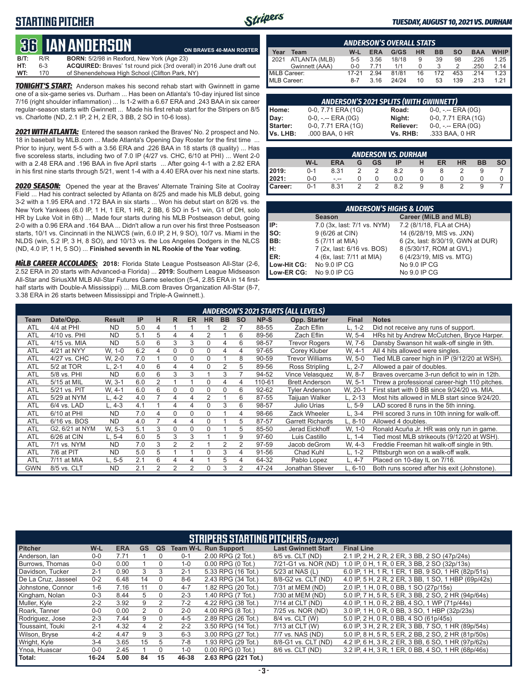## **STARTING PITCHER**



#### *TUESDAY, AUGUST 10, 2021 VS. DURHAM*

# **36****IAN ANDERSON**

|      |     | QU TANANDLIQUN                                    | ON BRAVES 40-MAN ROSTER                                               |
|------|-----|---------------------------------------------------|-----------------------------------------------------------------------|
| B/T: | R/R | <b>BORN:</b> 5/2/98 in Rexford. New York (Age 23) |                                                                       |
| HT:  | 6-3 |                                                   | ACQUIRED: Braves' 1st round pick (3rd overall) in 2016 June draft out |
| WT:  | 170 | of Shenendehowa High School (Clifton Park, NY)    |                                                                       |

*TONIGHT'S START:* Anderson makes his second rehab start with Gwinnett in game one of a six-game series vs. Durham ... Has been on Atlanta's 10-day injured list since 7/16 (right shoulder inflammation) ... Is 1-2 with a 6.67 ERA and .243 BAA in six career regular-season starts with Gwinnett ... Made his first rehab start for the Stripers on 8/5 vs. Charlotte (ND, 2.1 IP, 2 H, 2 ER, 3 BB, 2 SO in 10-6 loss).

*2021 WITH ATLANTA:* Entered the season ranked the Braves' No. 2 prospect and No. 18 in baseball by MLB.com ... Made Atlanta's Opening Day Roster for the first time ... Prior to injury, went 5-5 with a 3.56 ERA and .226 BAA in 18 starts (8 quality) ... Has five scoreless starts, including two of 7.0 IP (4/27 vs. CHC, 6/10 at PHI) ... Went 2-0 with a 2.48 ERA and .196 BAA in five April starts ... After going 4-1 with a 2.82 ERA in his first nine starts through 5/21, went 1-4 with a 4.40 ERA over his next nine starts.

*2020 SEASON:* Opened the year at the Braves' Alternate Training Site at Coolray Field ... Had his contract selected by Atlanta on 8/25 and made his MLB debut, going 3-2 with a 1.95 ERA and .172 BAA in six starts ... Won his debut start on 8/26 vs. the New York Yankees (6.0 IP, 1 H, 1 ER, 1 HR, 2 BB, 6 SO in 5-1 win, G1 of DH, solo HR by Luke Voit in 6th) ... Made four starts during his MLB Postseason debut, going 2-0 with a 0.96 ERA and .164 BAA ... Didn't allow a run over his first three Postseason starts, 10/1 vs. Cincinnati in the NLWCS (win, 6.0 IP, 2 H, 9 SO), 10/7 vs. Miami in the NLDS (win, 5.2 IP, 3 H, 8 SO), and 10/13 vs. the Los Angeles Dodgers in the NLCS (ND, 4.0 IP, 1 H, 5 SO) ... **Finished seventh in NL Rookie of the Year voting**.

*MiLB CAREER ACCOLADES:* **2018:** Florida State League Postseason All-Star (2-6, 2.52 ERA in 20 starts with Advanced-a Florida) ... **2019:** Southern League Midseason All-Star and SiriusXM MLB All-Star Futures Game selection (5-4, 2.85 ERA in 14 firsthalf starts with Double-A Mississippi) ... MiLB.com Braves Organization All-Star (8-7, 3.38 ERA in 26 starts between Mississippi and Triple-A Gwinnett.).

|              | <b>ANDERSON'S OVERALL STATS</b> |         |            |       |           |           |     |            |             |  |  |  |  |
|--------------|---------------------------------|---------|------------|-------|-----------|-----------|-----|------------|-------------|--|--|--|--|
| Year         | Team                            | $W-L$   | <b>ERA</b> | G/GS  | <b>HR</b> | <b>BB</b> | so  | <b>BAA</b> | <b>WHIP</b> |  |  |  |  |
| 12021        | ATLANTA (MLB)                   | $5 - 5$ | 3.56       | 18/18 | 9         | 39        | 98  | .226       | 1.25        |  |  |  |  |
|              | Gwinnett (AAA)                  | $0 - 0$ | 7.71       | 1/1   |           |           |     | .250       | 2.14        |  |  |  |  |
| MiLB Career: |                                 | 17-21   | 2.94       | 81/81 | 16        | 172       | 453 | 214        | 1.23        |  |  |  |  |
| MLB Career:  |                                 | $8-7$   | 3.16       | 24/24 | 10        | 53        | 139 | 213        | 1 21        |  |  |  |  |

| <b>ANDERSON'S 2021 SPLITS (WITH GWINNETT)</b> |                       |           |                       |  |  |  |  |  |  |  |  |
|-----------------------------------------------|-----------------------|-----------|-----------------------|--|--|--|--|--|--|--|--|
| Home:                                         | 0-0, 7.71 ERA (1G)    | Road:     | $0-0, - -$ ERA $(0G)$ |  |  |  |  |  |  |  |  |
| Day:                                          | $0-0, - -$ ERA $(0G)$ | Night:    | 0-0, 7.71 ERA (1G)    |  |  |  |  |  |  |  |  |
| Starter:                                      | 0-0, 7.71 ERA (1G)    | Reliever: | $0-0, - -$ ERA $(0G)$ |  |  |  |  |  |  |  |  |
| Vs. LHB:                                      | .000 BAA, 0 HR        | Vs. RHB:  | .333 BAA, 0 HR        |  |  |  |  |  |  |  |  |

|                                                                                 | <b>ANDERSON VS. DURHAM</b> |      |   |               |     |   |  |   |  |  |  |  |  |  |
|---------------------------------------------------------------------------------|----------------------------|------|---|---------------|-----|---|--|---|--|--|--|--|--|--|
| <b>SO</b><br>W-L<br><b>BB</b><br><b>ERA</b><br><b>HR</b><br>ER<br>GS<br>ΙP<br>G |                            |      |   |               |     |   |  |   |  |  |  |  |  |  |
| 2019:                                                                           | $0 - 1$                    | 8.31 |   |               | 8.2 | 9 |  |   |  |  |  |  |  |  |
| 2021:                                                                           | $0-0$                      | $ -$ |   |               | 0.0 |   |  |   |  |  |  |  |  |  |
| Career:                                                                         | $0 - 1$                    | 8.31 | 2 | $\mathcal{P}$ | 82  | 9 |  | ာ |  |  |  |  |  |  |

| <b>ANDERSON'S HIGHS &amp; LOWS</b> |                             |                                   |  |  |  |  |  |  |  |  |
|------------------------------------|-----------------------------|-----------------------------------|--|--|--|--|--|--|--|--|
|                                    | <b>Season</b>               | Career (MiLB and MLB)             |  |  |  |  |  |  |  |  |
| IP:                                | 7.0 (3x, last: 7/1 vs. NYM) | 7.2 (8/1/18, FLA at CHA)          |  |  |  |  |  |  |  |  |
| so:                                | 9 (6/26 at CIN)             | 14 (6/28/19, MIS vs. JXN)         |  |  |  |  |  |  |  |  |
| BB:                                | 5 (7/11 at MIA)             | 6 (2x, last: 8/30/19, GWN at DUR) |  |  |  |  |  |  |  |  |
| IH:                                | 7 (2x, last: 6/16 vs. BOS)  | 8 (5/30/17, ROM at GVL)           |  |  |  |  |  |  |  |  |
| <b>IER:</b>                        | 4 (6x, last: 7/11 at MIA)   | 6 (4/23/19, MIS vs. MTG)          |  |  |  |  |  |  |  |  |
| Low-Hit CG:                        | No 9.0 IP CG                | No 9.0 IP CG                      |  |  |  |  |  |  |  |  |
| Low-ER CG:                         | No 9.0 IP CG                | No 9.0 IP CG                      |  |  |  |  |  |  |  |  |

|            | <b>ANDERSON'S 2021 STARTS (ALL LEVELS)</b> |               |     |                |    |                |           |                |           |           |                         |              |                                                |
|------------|--------------------------------------------|---------------|-----|----------------|----|----------------|-----------|----------------|-----------|-----------|-------------------------|--------------|------------------------------------------------|
| Team       | Date/Opp.                                  | <b>Result</b> | IP  | н              | R. | <b>ER</b>      | <b>HR</b> | <b>BB</b>      | <b>SO</b> | NP-S      | Opp. Starter            | <b>Final</b> | <b>Notes</b>                                   |
| <b>ATL</b> | 4/4 at PHI                                 | <b>ND</b>     | 5.0 | 4              |    |                |           |                |           | 88-55     | Zach Eflin              | $L, 1-2$     | Did not receive any runs of support.           |
| <b>ATL</b> | 4/10 vs. PHI                               | <b>ND</b>     | 5.1 | 5              | 4  | 4              | 2         |                | 6         | 89-56     | Zach Eflin              | W. 5-4       | HRs hit by Andrew McCutchen, Bryce Harper.     |
| <b>ATL</b> | 4/15 vs. MIA                               | <b>ND</b>     | 5.0 | 6              | 3  | 3              |           | 4              | 6         | 98-57     | Trevor Rogers           | W. 7-6       | Dansby Swanson hit walk-off single in 9th.     |
| <b>ATL</b> | 4/21 at NYY                                | W. 1-0        | 6.2 | 4              | 0  | 0              | 0         | 4              | 4         | 97-65     | Corey Kluber            | W. 4-1       | All 4 hits allowed were singles.               |
| <b>ATL</b> | 4/27 vs. CHC                               | W, 2-0        | 7.0 |                | 0  | $\Omega$       | 0         |                | 8         | 90-59     | <b>Trevor Williams</b>  | W, 5-0       | Tied MLB career high in IP (9/12/20 at WSH).   |
| <b>ATL</b> | 5/2 at TOR                                 | L. 2-1        | 4.0 | 6              | 4  | 4              | 0         | 2              | 5         | 89-56     | Ross Stripling          | $L, 2-7$     | Allowed a pair of doubles.                     |
| <b>ATL</b> | 5/8 vs. PHI                                | <b>ND</b>     | 6.0 | 6              | 3  | 3              |           | 3              |           | 94-52     | Vince Velasquez         | W. 8-7       | Braves overcame 3-run deficit to win in 12th.  |
| <b>ATL</b> | 5/15 at MIL                                | W. 3-1        | 6.0 | 2              |    |                | 0         | 4              | 4         | 110-61    | <b>Brett Anderson</b>   | W. 5-1       | Threw a professional career-high 110 pitches.  |
| <b>ATL</b> | 5/21 vs. PIT                               | W. 4-1        | 6.0 | 6              | 0  | 0              | 0         | $\Omega$       | 6         | $92 - 62$ | <b>Tyler Anderson</b>   | W. 20-1      | First start with 0 BB since 9/24/20 vs. MIA.   |
| <b>ATL</b> | 5/29 at NYM                                | $L, 4-2$      | 4.0 |                | 4  | 4              | 2         |                | 6         | 87-55     | Taijuan Walker          | L. 2-13      | Most hits allowed in MLB start since 9/24/20.  |
| <b>ATL</b> | 6/4 vs. LAD                                | L. 4-3        | 4.1 |                | 4  | 4              | O         | 3              | 6         | 98-57     | Julio Urias             | $L, 5-9$     | LAD scored 8 runs in the 5th inning.           |
| <b>ATL</b> | 6/10 at PHI                                | <b>ND</b>     | 7.0 | 4              | 0  | $\Omega$       | 0         |                | 4         | 98-66     | Zack Wheeler            | L. 3-4       | PHI scored 3 runs in 10th inning for walk-off. |
| <b>ATL</b> | 6/16 vs. BOS                               | <b>ND</b>     | 4.0 |                | 4  | 4              | 0         |                | 5         | 87-57     | <b>Garrett Richards</b> | L. 8-10      | Allowed 4 doubles.                             |
| <b>ATL</b> | G2, 6/21 at NYM                            | W. 5-3        | 5.1 | 3              | 0  | 0              | 0         |                | 5         | 85-50     | Jerad Eickhoff          | W, 1-0       | Ronald Acuña Jr. HR was only run in game.      |
| <b>ATL</b> | 6/26 at CIN                                | L. 5-4        | 6.0 | 5              | 3  | 3              |           |                | 9         | 97-60     | Luis Castillo           | L. 1-4       | Tied most MLB strikeouts (9/12/20 at WSH).     |
| <b>ATL</b> | 7/1 vs. NYM                                | <b>ND</b>     | 7.0 | 3              | 2  | $\overline{2}$ |           | $\overline{2}$ | 2         | 97-59     | Jacob deGrom            | W. 4-3       | Freddie Freeman hit walk-off single in 9th.    |
| <b>ATL</b> | 7/6 at PIT                                 | <b>ND</b>     | 5.0 | 5              |    |                |           | 3              | 4         | 91-56     | Chad Kuhl               | $L, 1-2$     | Pittsburgh won on a walk-off walk.             |
| <b>ATL</b> | 7/11 at MIA                                | L. 5-5        | 2.1 | 6              | 4  | 4              |           | 5              | 4         | 64-32     | Pablo Lopez             | $L, 4-7$     | Placed on 10-day IL on 7/16.                   |
| <b>GWN</b> | 8/5 vs. CLT                                | <b>ND</b>     | 2.1 | $\overline{2}$ | 2  | $\overline{2}$ | 0         | 3              | 2         | 47-24     | Jonathan Stiever        | L. 6-10      | Both runs scored after his exit (Johnstone).   |

|                     | <b>STRIPERS STARTING PITCHERS (13 IN 2021)</b> |            |           |          |         |                             |                            |                                                     |  |  |  |  |
|---------------------|------------------------------------------------|------------|-----------|----------|---------|-----------------------------|----------------------------|-----------------------------------------------------|--|--|--|--|
| <b>Pitcher</b>      | W-L                                            | <b>ERA</b> | <b>GS</b> | QS       |         | <b>Team W-L Run Support</b> | <b>Last Gwinnett Start</b> | <b>Final Line</b>                                   |  |  |  |  |
| Anderson, lan       | $0 - 0$                                        | 7.71       |           |          | $0 - 1$ | 2.00 RPG (2 Tot.)           | 8/5 vs. CLT (ND)           | 2.1 IP, 2 H, 2 R, 2 ER, 3 BB, 2 SO (47p/24s)        |  |  |  |  |
| Burrows, Thomas     | $0 - 0$                                        | 0.00       |           |          | $1 - 0$ | 0.00 RPG (0 Tot.)           | 7/21-G1 vs. NOR (ND)       | 1.0 IP, 0 H, 1 R, 0 ER, 3 BB, 2 SO (32p/13s)        |  |  |  |  |
| Davidson, Tucker    | $2 - 1$                                        | 0.90       | 3         |          | $2 - 1$ | 5.33 RPG (16 Tot.)          | 5/23 at NAS (L)            | 6.0 IP, 1 H, 1 R, 1 ER, 1 BB, 9 SO, 1 HR (82p/51s)  |  |  |  |  |
| De La Cruz, Jasseel | $0 - 2$                                        | 6.48       | 14        | $\Omega$ | $8-6$   | 2.43 RPG (34 Tot.)          | 8/8-G2 vs. CLT (ND)        | 4.0 IP, 5 H, 2 R, 2 ER, 3 BB, 1 SO, 1 HBP (69p/42s) |  |  |  |  |
| Johnstone, Connor   | $1 - 6$                                        | 7.16       | 11        | $\Omega$ | $4 - 7$ | 1.82 RPG (20 Tot.)          | 7/31 at MEM (ND)           | 2.0 IP, 1 H, 0 R, 0 BB, 1 SO (27p/15s)              |  |  |  |  |
| Kingham, Nolan      | $0 - 3$                                        | 8.44       | 5         | $\Omega$ | $2 - 3$ | 1.40 RPG (7 Tot.)           | 7/30 at MEM (ND)           | 5.0 IP, 7 H, 5 R, 5 ER, 3 BB, 2 SO, 2 HR (94p/64s)  |  |  |  |  |
| Muller, Kyle        | $2 - 2$                                        | 3.92       | 9         |          | $7-2$   | 4.22 RPG (38 Tot.)          | 7/14 at CLT (ND)           | 4.0 IP, 1 H, 0 R, 2 BB, 4 SO, 1 WP (71p/44s)        |  |  |  |  |
| Roark, Tanner       | $0 - 0$                                        | 0.00       |           | $\Omega$ | $2 - 0$ | 4.00 RPG (8 Tot.)           | 7/25 vs. NOR (ND)          | 3.0 IP, 1 H, 0 R, 0 BB, 3 SO, 1 HBP (32p/23s)       |  |  |  |  |
| Rodriguez, Jose     | $2 - 3$                                        | 7.44       | 9         | $\Omega$ | $4 - 5$ | 2.89 RPG (26 Tot.)          | 8/4 vs. CLT (W)            | 5.0 IP, 2 H, 0 R, 0 BB, 4 SO (61p/45s)              |  |  |  |  |
| Toussaint. Touki    | $2 - 1$                                        | 4.32       | 4         |          | $2 - 2$ | 3.50 RPG (14 Tot.)          | 7/13 at CLT (W)            | 6.0 IP, 3 H, 2 R, 2 ER, 3 BB, 7 SO, 1 HR (89p/54s)  |  |  |  |  |
| Wilson, Bryse       | $4 - 2$                                        | 4.47       | 9         | 3        | $6 - 3$ | 3.00 RPG (27 Tot.)          | 7/7 vs. NAS (ND)           | 5.0 IP, 8 H, 5 R, 5 ER, 2 BB, 2 SO, 2 HR (81p/50s)  |  |  |  |  |
| Wright, Kyle        | $3 - 4$                                        | 3.65       | 15        | 5.       | $7-8$   | 1.93 RPG (29 Tot.)          | 8/8-G1 vs. CLT (ND)        | 4.2 IP, 6 H, 3 R, 2 ER, 3 BB, 6 SO, 1 HR (97p/62s)  |  |  |  |  |
| Ynoa, Huascar       | $0 - 0$                                        | 2.45       |           |          | $1 - 0$ | 0.00 RPG (0 Tot.)           | 8/6 vs. CLT (ND)           | 3.2 IP, 4 H, 3 R, 1 ER, 0 BB, 4 SO, 1 HR (68p/46s)  |  |  |  |  |
| Total:              | $16 - 24$                                      | 5.00       | 84        | 15       | 46-38   | 2.63 RPG (221 Tot.)         |                            |                                                     |  |  |  |  |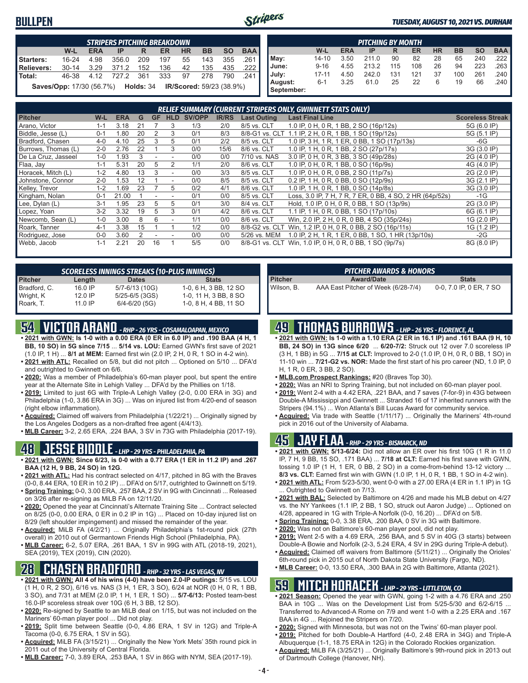## **BULLPEN**



#### *TUESDAY, AUGUST 10, 2021 VS. DURHAM*

|                                                                                                | <b>STRIPERS PITCHING BREAKDOWN</b>                                           |      |                |       |     |    |     |      |        |  |  |  |
|------------------------------------------------------------------------------------------------|------------------------------------------------------------------------------|------|----------------|-------|-----|----|-----|------|--------|--|--|--|
| <b>BAA</b><br><b>SO</b><br><b>BB</b><br>W-L<br><b>HR</b><br><b>ERA</b><br><b>ER</b><br>IP<br>R |                                                                              |      |                |       |     |    |     |      |        |  |  |  |
| Starters:                                                                                      | 16-24                                                                        | 4.98 | 356.0          | - 209 | 197 | 55 | 143 | 355  | 261 I  |  |  |  |
| <b>Relievers:</b>                                                                              | $30 - 14$                                                                    | 3.29 | 371.2          | 152   | 136 | 42 | 135 | 435  | .222 l |  |  |  |
| Total:                                                                                         | 46-38                                                                        |      | 4.12 727.2 361 |       | 333 | 97 | 278 | 790. | .241   |  |  |  |
|                                                                                                | IR/Scored: 59/23 (38.9%)<br><b>Saves/Opp:</b> 17/30 (56.7%) <b>Holds:</b> 34 |      |                |       |     |    |     |      |        |  |  |  |

|            | <b>PITCHING BY MONTH</b>                                                                |      |       |     |     |    |     |     |      |  |  |  |  |  |
|------------|-----------------------------------------------------------------------------------------|------|-------|-----|-----|----|-----|-----|------|--|--|--|--|--|
|            | <b>SO</b><br>W-L<br><b>HR</b><br><b>BB</b><br><b>ERA</b><br><b>BAA</b><br>ER<br>IP<br>R |      |       |     |     |    |     |     |      |  |  |  |  |  |
| May:       | $14 - 10$                                                                               | 3.50 | 211.0 | 90  | 82  | 28 | 65  | 240 | 222  |  |  |  |  |  |
| June:      | $9 - 16$                                                                                | 4.55 | 213.2 | 115 | 108 | 26 | 94  | 223 | 263  |  |  |  |  |  |
| July:      | $17 - 11$                                                                               | 4.50 | 242.0 | 131 | 121 | 37 | 100 | 261 | .240 |  |  |  |  |  |
| August:    | $6 - 1$                                                                                 | 3.25 | 61.0  | 25  | 22  | 6  | 19  | 66  | .240 |  |  |  |  |  |
| September: |                                                                                         |      |       |     |     |    |     |     |      |  |  |  |  |  |

|                     | <b>RELIEF SUMMARY (CURRENT STRIPERS ONLY, GWINNETT STATS ONLY)</b> |            |    |           |                          |                   |              |                    |                                                          |                         |
|---------------------|--------------------------------------------------------------------|------------|----|-----------|--------------------------|-------------------|--------------|--------------------|----------------------------------------------------------|-------------------------|
| <b>Pitcher</b>      | W-L                                                                | <b>ERA</b> | G  | <b>GF</b> |                          | <b>HLD SV/OPP</b> | <b>IR/RS</b> | <b>Last Outing</b> | <b>Last Final Line</b>                                   | <b>Scoreless Streak</b> |
| Arano, Victor       | 1-1                                                                | 3.18       | 21 |           | 3                        | 1/3               | 2/0          | 8/5 vs. CLT        | 1.0 IP, 0 H, 0 R, 1 BB, 2 SO (16p/12s)                   | 5G (6.0 IP)             |
| Biddle, Jesse (L)   | $0 - 1$                                                            | 1.80       | 20 | 2         | 3                        | 0/1               | 8/3          |                    | 8/8-G1 vs. CLT 1.1 IP, 2 H, 0 R, 1 BB, 1 SO (19p/12s)    | 5G (5.1 IP)             |
| Bradford, Chasen    | $4 - 0$                                                            | 4.10       | 25 | 3         | 5                        | 0/1               | 2/2          | 8/5 vs. CLT        | 1.0 IP, 3 H, 1 R, 1 ER, 0 BB, 1 SO (17p/13s)             | $-6G$                   |
| Burrows, Thomas (L) | $2 - 0$                                                            | 2.76       | 22 |           | 3                        | 0/0               | 15/6         | 8/6 vs. CLT        | 1.0 IP, 1 H, 0 R, 1 BB, 2 SO (27p/17s)                   | 3G (3.0 IP)             |
| De La Cruz, Jasseel | $1 - 0$                                                            | 1.93       |    |           |                          | 0/0               | 0/0          | 7/10 vs. NAS       | 3.0 IP, 0 H, 0 R, 3 BB, 3 SO (49p/28s)                   | 2G (4.0 IP)             |
| Flaa, Jay           | $1 - 1$                                                            | 5.31       | 20 | 5         |                          | 1/1               | 2/0          | 8/6 vs. CLT        | 1.0 IP, 0 H, 0 R, 1 BB, 0 SO (16p/9s)                    | 4G (4.0 IP)             |
| Horacek, Mitch (L)  | $1 - 2$                                                            | 4.80       | 13 | 3         | $\overline{\phantom{a}}$ | 0/0               | 3/3          | 8/5 vs. CLT        | 1.0 IP, 0 H, 0 R, 0 BB, 2 SO (11p/7s)                    | 2G (2.0 IP)             |
| Johnstone, Connor   | $2 - 0$                                                            | 1.53       | 12 |           | $\overline{\phantom{a}}$ | 0/0               | 8/5          | 8/5 vs. CLT        | 0.2 IP, 1 H, 0 R, 0 BB, 0 SO (12p/9s)                    | 3G (2.1 IP)             |
| Kelley, Trevor      | $1 - 2$                                                            | .69        | 23 |           | 5                        | 0/2               | 4/1          | 8/6 vs. CLT        | 1.0 IP, 1 H, 0 R, 1 BB, 0 SO (14p/8s)                    | 3G (3.0 IP)             |
| Kingham, Nolan      | $0 - 1$                                                            | 21.00      |    |           |                          | 0/1               | 0/0          | 8/5 vs. CLT        | Loss, 3.0 IP, 7 H, 7 R, 7 ER, 0 BB, 4 SO, 2 HR (64p/52s) | $-1G$                   |
| Lee, Dylan (L)      | $3 - 1$                                                            | 1.95       | 23 | 5         | 5                        | 0/1               | 3/0          | 8/4 vs. CLT        | Hold, 1.0 IP, 0 H, 0 R, 0 BB, 1 SO (13p/9s)              | 2G (3.0 IP)             |
| Lopez, Yoan         | $3-2$                                                              | 3.32       | 19 | 5         | 3                        | 0/1               | 4/2          | 8/6 vs. CLT        | 1.1 IP, 1 H, 0 R, 0 BB, 1 SO (17p/10s)                   | 6G (6.1 IP)             |
| Newcomb, Sean (L)   | $1 - 0$                                                            | 3.00       | 8  | 6         | $\overline{\phantom{a}}$ | 1/1               | 0/0          | 8/6 vs. CLT        | Win, 2.0 IP, 2 H, 0 R, 0 BB, 4 SO (35p/24s)              | 1G (2.0 IP)             |
| Roark, Tanner       | $4-1$                                                              | 3.38       | 15 |           |                          | 1/2               | 0/0          | 8/8-G2 vs. CLT     | Win, 1.2 IP, 0 H, 0 R, 0 BB, 2 SO (16p/11s)              | 1G (1.2 IP)             |
| Rodriguez, Jose     | $0 - 0$                                                            | 3.60       |    |           |                          | 0/0               | 0/0          | 5/26 vs. MEM       | 1.0 IP, 2 H, 1 R, 1 ER, 0 BB, 1 SO, 1 HR (13p/10s)       | -2G                     |
| Webb, Jacob         | $1 - 1$                                                            | 2.21       | 20 | 16        |                          | 5/5               | 0/0          |                    | 8/8-G1 vs. CLT Win, 1.0 IP, 0 H, 0 R, 0 BB, 1 SO (9p/7s) | 8G (8.0 IP)             |

| <b>SCORELESS INNINGS STREAKS (10-PLUS INNINGS)</b> |           |                    |                       |  |  |  |  |  |
|----------------------------------------------------|-----------|--------------------|-----------------------|--|--|--|--|--|
| <b>Pitcher</b>                                     | Length    | <b>Dates</b>       | <b>Stats</b>          |  |  |  |  |  |
| Bradford, C.                                       | 16.0 IP   | 5/7-6/13 (10G)     | 1-0, 6 H, 3 BB, 12 SO |  |  |  |  |  |
| Wright, K                                          | $12.0$ IP | $5/25 - 6/5$ (3GS) | 1-0, 11 H, 3 BB, 8 SO |  |  |  |  |  |
| Roark, T.                                          | 11 0 IP   | $6/4 - 6/20$ (5G)  | 1-0, 8 H, 4 BB, 11 SO |  |  |  |  |  |

# **54 VICTOR ARANO** *- RHP - 26 YRS - COSAMALOAPAN, MEXICO*

- **• 2021 with GWN: Is 1-0 with a 0.00 ERA (0 ER in 6.0 IP) and .190 BAA (4 H, 1 BB, 10 SO) in 5G since 7/15** ... **5/14 vs. LOU:** Earned GWN's first save of 2021
- (1.0 IP, 1 H) ... **8/1 at MEM:** Earned first win (2.0 IP, 2 H, 0 R, 1 SO in 4-2 win). **• 2021 with ATL:** Recalled on 5/8, but did not pitch ... Optioned on 5/10 ... DFA'd and outrighted to Gwinnett on 6/6.
- **• 2020:** Was a member of Philadelphia's 60-man player pool, but spent the entire year at the Alternate Site in Lehigh Valley ... DFA'd by the Phillies on 1/18.
- **• 2019:** Limited to just 6G with Triple-A Lehigh Valley (2-0, 0.00 ERA in 3G) and Philadelphia (1-0, 3.86 ERA in 3G) ... Was on injured list from 4/20-end of season (right elbow inflammation).
- **• Acquired:** Claimed off waivers from Philadelphia (1/22/21) ... Originally signed by the Los Angeles Dodgers as a non-drafted free agent (4/4/13).
- **• MLB Career:** 3-2, 2.65 ERA, .224 BAA, 3 SV in 73G with Philadelphia (2017-19).

# **48 JESSE BIDDLE** *- LHP - 29 YRS - PHILADELPHIA, PA*

- **• 2021 with GWN: Since 6/23, is 0-0 with a 0.77 ERA (1 ER in 11.2 IP) and .267 BAA (12 H, 9 BB, 24 SO) in 12G**.
- **• 2021 with ATL:** Had his contract selected on 4/17, pitched in 8G with the Braves (0-0, 8.44 ERA, 10 ER in 10.2 IP) ... DFA'd on 5/17, outrighted to Gwinnett on 5/19.
- **• Spring Training:** 0-0, 3.00 ERA, .257 BAA, 2 SV in 9G with Cincinnati ... Released on 3/26 after re-signing as MiLB FA on 12/11/20.
- **• 2020:** Opened the year at Cincinnati's Alternate Training Site ... Contract selected on 8/25 (0-0, 0.00 ERA, 0 ER in 0.2 IP in 1G) ... Placed on 10-day injured list on 8/29 (left shoulder impingement) and missed the remainder of the year.
- **• Acquired:** MiLB FA (4/2/21) ... Originally Philadelphia's 1st-round pick (27th overall) in 2010 out of Germantown Friends High School (Philadelphia, PA).
- **• MLB Career:** 6-2, 5.07 ERA, .261 BAA, 1 SV in 99G with ATL (2018-19, 2021), SEA (2019), TEX (2019), CIN (2020).

## **28 CHASEN BRADFORD** *- RHP - 32 YRS - LAS VEGAS, NV*

- **• 2021 with GWN: All 4 of his wins (4-0) have been 2.0-IP outings:** 5/15 vs. LOU (1 H, 0 R, 2 SO), 6/16 vs. NAS (3 H, 1 ER, 3 SO), 6/24 at NOR (0 H, 0 R, 1 BB, 3 SO), and 7/31 at MEM (2.0 IP, 1 H, 1 ER, 1 SO) ... **5/7-6/13:** Posted team-best 16.0-IP scoreless streak over 10G (6 H, 3 BB, 12 SO).
- **• 2020:** Re-signed by Seattle to an MiLB deal on 1/15, but was not included on the Mariners' 60-man player pool ... Did not play.
- **• 2019:** Split time between Seattle (0-0, 4.86 ERA, 1 SV in 12G) and Triple-A Tacoma (0-0, 6.75 ERA, 1 SV in 5G).
- **• Acquired:** MiLB FA (3/15/21) ... Originally the New York Mets' 35th round pick in 2011 out of the University of Central Florida.
- **• MLB Career:** 7-0, 3.89 ERA, .253 BAA, 1 SV in 86G with NYM, SEA (2017-19).

|                | PITCHER AWARDS & HONORS             |                         |
|----------------|-------------------------------------|-------------------------|
| <b>Pitcher</b> | <b>Award/Date</b>                   | <b>Stats</b>            |
| Wilson. B.     | AAA East Pitcher of Week (6/28-7/4) | 0-0, 7.0 IP, 0 ER, 7 SO |

## **49 THOMAS BURROWS** *- LHP - 26 YRS - FLORENCE, AL*

- **• 2021 with GWN: Is 1-0 with a 1.10 ERA (2 ER in 16.1 IP) and .161 BAA (9 H, 10 BB, 24 SO) in 13G since 6/20** ... **6/20-7/2:** Struck out 12 over 7.0 scoreless IP (3 H, 1 BB) in 5G ... **7/15 at CLT:** Improved to 2-0 (1.0 IP, 0 H, 0 R, 0 BB, 1 SO) in 11-10 win ... **7/21-G2 vs. NOR:** Made the first start of his pro career (ND, 1.0 IP, 0 H, 1 R, 0 ER, 3 BB, 2 SO).
- **• MLB.com Prospect Rankings:** #20 (Braves Top 30).
- **• 2020:** Was an NRI to Spring Training, but not included on 60-man player pool.
- **• 2019:** Went 2-4 with a 4.42 ERA, .221 BAA, and 7 saves (7-for-9) in 43G between Double-A Mississippi and Gwinnett ... Stranded 16 of 17 inherited runners with the Stripers (94.1%) ... Won Atlanta's Bill Lucas Award for community service.
- **• Acquired:** Via trade with Seattle (1/11/17) ... Originally the Mariners' 4th-round pick in 2016 out of the University of Alabama.

## **45 JAY FLAA** *- RHP - 29 YRS - BISMARCK, ND*

- **• 2021 with GWN: 5/13-6/24:** Did not allow an ER over his first 10G (1 R in 11.0 IP, 7 H, 9 BB, 15 SO, .171 BAA) ... **7/18 at CLT:** Earned his first save with GWN, tossing 1.0 IP (1 H, 1 ER, 0 BB, 2 SO) in a come-from-behind 13-12 victory ... **8/3 vs. CLT:** Earned first win with GWN (1.0 IP, 1 H, 0 R, 1 BB, 1 SO in 4-2 win).
- **• 2021 with ATL:** From 5/23-5/30, went 0-0 with a 27.00 ERA (4 ER in 1.1 IP) in 1G ... Outrighted to Gwinnett on 7/13.
- **• 2021 with BAL:** Selected by Baltimore on 4/26 and made his MLB debut on 4/27 vs. the NY Yankees (1.1 IP, 2 BB, 1 SO, struck out Aaron Judge) ... Optioned on 4/28, appeared in 1G with Triple-A Norfolk (0-0, 16.20) ... DFA'd on 5/8.
- **• Spring Training:** 0-0, 3.38 ERA, .200 BAA, 0 SV in 3G with Baltimore.
- **• 2020:** Was not on Baltimore's 60-man player pool, did not play.
- **• 2019:** Went 2-5 with a 4.69 ERA, .256 BAA, and 5 SV in 40G (3 starts) between Double-A Bowie and Norfolk (2-3, 5.24 ERA, 4 SV in 29G during Triple-A debut).
- **• Acquired:** Claimed off waivers from Baltimore (5/11/21) ... Originally the Orioles' 6th-round pick in 2015 out of North Dakota State University (Fargo, ND).
- **• MLB Career:** 0-0, 13.50 ERA, .300 BAA in 2G with Baltimore, Atlanta (2021).

## **59 MITCH HORACEK** *- LHP - 29 YRS - LITTLETON, CO*

- **• 2021 Season:** Opened the year with GWN, going 1-2 with a 4.76 ERA and .250 BAA in 10G ... Was on the Development List from 5/25-5/30 and 6/2-6/15 ... Transferred to Advanced-A Rome on 7/9 and went 1-0 with a 2.25 ERA and .167 BAA in 4G ... Rejoined the Stripers on 7/20.
- **• 2020:** Signed with Minnesota, but was not on the Twins' 60-man player pool.
- **• 2019:** Pitched for both Double-A Hartford (4-0, 2.48 ERA in 34G) and Triple-A Albuquerque (1-1, 18.75 ERA in 12G) in the Colorado Rockies organization.
- **• Acquired:** MiLB FA (3/25/21) ... Originally Baltimore's 9th-round pick in 2013 out of Dartmouth College (Hanover, NH).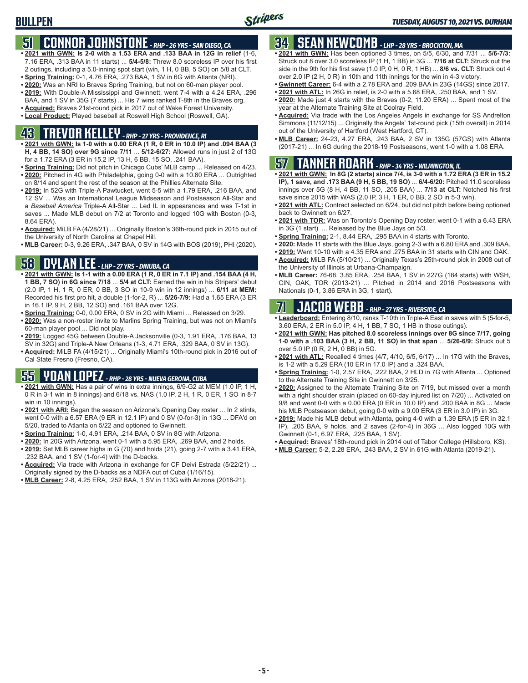# **51 CONNOR JOHNSTONE** *- RHP - 26 YRS - SAN DIEGO, CA*

- **• 2021 with GWN: Is 2-0 with a 1.53 ERA and .133 BAA in 12G in relief** (1-6, 7.16 ERA, .313 BAA in 11 starts) ... **5/4-5/8:** Threw 8.0 scoreless IP over his first 2 outings, including a 5.0-inning spot start (win, 1 H, 0 BB, 5 SO) on 5/8 at CLT.
- **• Spring Training:** 0-1, 4.76 ERA, .273 BAA, 1 SV in 6G with Atlanta (NRI).
- **• 2020:** Was an NRI to Braves Spring Training, but not on 60-man player pool.
- **• 2019:** With Double-A Mississippi and Gwinnett, went 7-4 with a 4.24 ERA, .296 BAA, and 1 SV in 35G (7 starts) ... His 7 wins ranked T-8th in the Braves org.
- **• Acquired:** Braves 21st-round pick in 2017 out of Wake Forest University.
- **• Local Product:** Played baseball at Roswell High School (Roswell, GA).

# **43 TREVOR KELLEY** *- RHP - 27 YRS - PROVIDENCE, RI*

- **• 2021 with GWN: Is 1-0 with a 0.00 ERA (1 R, 0 ER in 10.0 IP) and .094 BAA (3 H, 4 BB, 14 SO) over 9G since 7/11** ... **5/12-6/27:** Allowed runs in just 2 of 13G for a 1.72 ERA (3 ER in 15.2 IP, 13 H, 6 BB, 15 SO, .241 BAA).
- **• Spring Training:** Did not pitch in Chicago Cubs' MLB camp ... Released on 4/23. **• 2020:** Pitched in 4G with Philadelphia, going 0-0 with a 10.80 ERA ... Outrighted on 8/14 and spent the rest of the season at the Phillies Alternate Site.
- **• 2019:** In 52G with Triple-A Pawtucket, went 5-5 with a 1.79 ERA, .216 BAA, and 12 SV ... Was an International League Midseason and Postseason All-Star and a *Baseball America* Triple-A All-Star ... Led IL in appearances and was T-1st in saves ... Made MLB debut on 7/2 at Toronto and logged 10G with Boston (0-3, 8.64 ERA).
- **• Acquired:** MiLB FA (4/28/21) ... Originally Boston's 36th-round pick in 2015 out of the University of North Carolina at Chapel Hill.
- **• MLB Career:** 0-3, 9.26 ERA, .347 BAA, 0 SV in 14G with BOS (2019), PHI (2020).

# **58 DYLAN LEE** *- LHP - 27 YRS - DINUBA, CA*

- **• 2021 with GWN: Is 1-1 with a 0.00 ERA (1 R, 0 ER in 7.1 IP) and .154 BAA (4 H, 1 BB, 7 SO) in 6G since 7/18** ... **5/4 at CLT:** Earned the win in his Stripers' debut (2.0 IP, 1 H, 1 R, 0 ER, 0 BB, 3 SO in 10-9 win in 12 innings) ... **6/11 at MEM:** Recorded his first pro hit, a double (1-for-2, R) ... **5/26-7/9:** Had a 1.65 ERA (3 ER in 16.1 IP, 9 H, 2 BB, 12 SO) and .161 BAA over 12G.
- **• Spring Training:** 0-0, 0.00 ERA, 0 SV in 2G with Miami ... Released on 3/29.
- **• 2020:** Was a non-roster invite to Marlins Spring Training, but was not on Miami's 60-man player pool ... Did not play.
- **• 2019:** Logged 45G between Double-A Jacksonville (0-3, 1.91 ERA, .176 BAA, 13 SV in 32G) and Triple-A New Orleans (1-3, 4.71 ERA, .329 BAA, 0 SV in 13G).
- **• Acquired:** MiLB FA (4/15/21) ... Originally Miami's 10th-round pick in 2016 out of Cal State Fresno (Fresno, CA).

# **55 YOAN LOPEZ** *- RHP - 28 YRS - NUEVA GERONA, CUBA*

- **• 2021 with GWN:** Has a pair of wins in extra innings, 6/9-G2 at MEM (1.0 IP, 1 H, 0 R in 3-1 win in 8 innings) and 6/18 vs. NAS (1.0 IP, 2 H, 1 R, 0 ER, 1 SO in 8-7 win in 10 innings).
- **• 2021 with ARI:** Began the season on Arizona's Opening Day roster ... In 2 stints, went 0-0 with a 6.57 ERA (9 ER in 12.1 IP) and 0 SV (0-for-3) in 13G ... DFA'd on 5/20, traded to Atlanta on 5/22 and optioned to Gwinnett.
- **• Spring Training:** 1-0, 4.91 ERA, .214 BAA, 0 SV in 8G with Arizona.
- **• 2020:** In 20G with Arizona, went 0-1 with a 5.95 ERA, .269 BAA, and 2 holds.
- **• 2019:** Set MLB career highs in G (70) and holds (21), going 2-7 with a 3.41 ERA, .232 BAA, and 1 SV (1-for-4) with the D-backs.
- **• Acquired:** Via trade with Arizona in exchange for CF Deivi Estrada (5/22/21) ... Originally signed by the D-backs as a NDFA out of Cuba (1/16/15).
- **• MLB Career:** 2-8, 4.25 ERA, .252 BAA, 1 SV in 113G with Arizona (2018-21).

# **34 SEAN NEWCOMB** *- LHP - 28 YRS - BROCKTON, MA*

- **• 2021 with GWN:** Has been optioned 3 times, on 5/5, 6/30, and 7/31 ... **5/6-7/3:** Struck out 8 over 3.0 scoreless IP (1 H, 1 BB) in 3G ... **7/16 at CLT:** Struck out the side in the 9th for his first save (1.0 IP, 0 H, 0 R, 1 HB) ... **8/6 vs. CLT:** Struck out 4 over 2.0 IP (2 H, 0 R) in 10th and 11th innings for the win in 4-3 victory.
- **• Gwinnett Career:** 6-4 with a 2.78 ERA and .209 BAA in 23G (14GS) since 2017.
- **• 2021 with ATL:** In 26G in relief, is 2-0 with a 5.68 ERA, .250 BAA, and 1 SV.
- **• 2020:** Made just 4 starts with the Braves (0-2, 11.20 ERA) ... Spent most of the year at the Alternate Training Site at Coolray Field.
- **• Acquired:** Via trade with the Los Angeles Angels in exchange for SS Andrelton Simmons (11/12/15) ... Originally the Angels' 1st-round pick (15th overall) in 2014 out of the University of Hartford (West Hartford, CT).
- **• MLB Career:** 24-23, 4.27 ERA, .243 BAA, 2 SV in 135G (57GS) with Atlanta (2017-21) ... In 6G during the 2018-19 Postseasons, went 1-0 with a 1.08 ERA.

## **57 TANNER ROARK** *- RHP - 34 YRS - WILMINGTON, IL*

- **• 2021 with GWN: In 8G (2 starts) since 7/4, is 3-0 with a 1.72 ERA (3 ER in 15.2 IP), 1 save, and .173 BAA (9 H, 5 BB, 19 SO)** ... **6/4-6/20:** Pitched 11.0 scoreless innings over 5G (8 H, 4 BB, 11 SO, .205 BAA) ... **7/13 at CLT:** Notched his first save since 2015 with WAS (2.0 IP, 3 H, 1 ER, 0 BB, 2 SO in 5-3 win).
- **• 2021 with ATL:** Contract selected on 6/24, but did not pitch before being optioned back to Gwinnett on 6/27.
- **• 2021 with TOR:** Was on Toronto's Opening Day roster, went 0-1 with a 6.43 ERA in 3G (1 start) ... Released by the Blue Jays on 5/3.
- **• Spring Training:** 2-1, 8.44 ERA, .295 BAA in 4 starts with Toronto.
- **• 2020:** Made 11 starts with the Blue Jays, going 2-3 with a 6.80 ERA and .309 BAA.
- **• 2019:** Went 10-10 with a 4.35 ERA and .275 BAA in 31 starts with CIN and OAK.
- **• Acquired:** MiLB FA (5/10/21) ... Originally Texas's 25th-round pick in 2008 out of the University of Illinois at Urbana-Champaign.
- **• MLB Career:** 76-68, 3.85 ERA, .254 BAA, 1 SV in 227G (184 starts) with WSH, CIN, OAK, TOR (2013-21) ... Pitched in 2014 and 2016 Postseasons with Nationals (0-1, 3.86 ERA in 3G, 1 start).

## **71 JACOB WEBB** *- RHP - 27 YRS - RIVERSIDE, CA*

- **• Leaderboard:** Entering 8/10, ranks T-10th in Triple-A East in saves with 5 (5-for-5, 3.60 ERA, 2 ER in 5.0 IP, 4 H, 1 BB, 7 SO, 1 HB in those outings).
- **• 2021 with GWN: Has pitched 8.0 scoreless innings over 8G since 7/17, going 1-0 with a .103 BAA (3 H, 2 BB, 11 SO) in that span** ... **5/26-6/9:** Struck out 5 over 5.0 IP (0 R, 2 H, 0 BB) in 5G.
- **• 2021 with ATL:** Recalled 4 times (4/7, 4/10, 6/5, 6/17) ... In 17G with the Braves, is 1-2 with a 5.29 ERA (10 ER in 17.0 IP) and a .324 BAA.
- **• Spring Training:** 1-0, 2.57 ERA, .222 BAA, 2 HLD in 7G with Atlanta ... Optioned to the Alternate Training Site in Gwinnett on 3/25.
- **• 2020:** Assigned to the Alternate Training Site on 7/19, but missed over a month with a right shoulder strain (placed on 60-day injured list on 7/20) ... Activated on 9/8 and went 0-0 with a 0.00 ERA (0 ER in 10.0 IP) and .200 BAA in 8G ... Made his MLB Postseason debut, going 0-0 with a 9.00 ERA (3 ER in 3.0 IP) in 3G.
- **• 2019:** Made his MLB debut with Atlanta, going 4-0 with a 1.39 ERA (5 ER in 32.1 IP), .205 BAA, 9 holds, and 2 saves (2-for-4) in 36G ... Also logged 10G with Gwinnett (0-1, 6.97 ERA, .225 BAA, 1 SV).
- **• Acquired:** Braves' 18th-round pick in 2014 out of Tabor College (Hillsboro, KS).
- **• MLB Career:** 5-2, 2.28 ERA, .243 BAA, 2 SV in 61G with Atlanta (2019-21).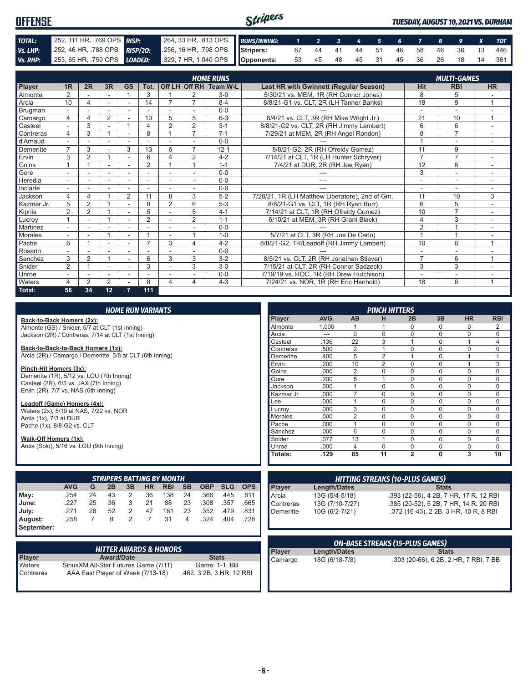| <b>OFFENSE</b> |                            |  | Stripers<br>TUESDAY, AUGUST 10, 2021 VS. DURHAM                                                            |  |  |  |  |  |  |  |  |  |  |                                   |
|----------------|----------------------------|--|------------------------------------------------------------------------------------------------------------|--|--|--|--|--|--|--|--|--|--|-----------------------------------|
|                |                            |  |                                                                                                            |  |  |  |  |  |  |  |  |  |  |                                   |
| TOTAL:         | 252, 111 HR, 769 OPS RISP: |  | 264, 33 HR, 813 OPS RUNS/INNING: 1 2 3 4 5 6 7 8 9 X TOT                                                   |  |  |  |  |  |  |  |  |  |  |                                   |
| Vs. LHP:       |                            |  | 252, 46 HR, 788 OPS RISP/20: 256, 16 HR, 798 OPS Stripers:                                                 |  |  |  |  |  |  |  |  |  |  | 67 44 41 44 51 46 58 46 36 13 446 |
|                |                            |  | Vs. RHP: $253, 65$ HR, 759 OPS $\boxed{LOADED:}$ 329, 7 HR, 1.040 OPS $\boxed{ \boxed{ \text{Opponents:}}$ |  |  |  |  |  |  |  |  |  |  | 53 45 48 45 31 45 36 26 18 14 361 |

|            |                          |                |        |                |                |                |                | <b>HOME RUNS</b>       |                                                 |                          | <b>MULTI-GAMES</b>       |                |
|------------|--------------------------|----------------|--------|----------------|----------------|----------------|----------------|------------------------|-------------------------------------------------|--------------------------|--------------------------|----------------|
| Player     | 1 <sub>R</sub>           | 2R             | 3R     | <b>GS</b>      | Tot.           |                |                | Off LH Off RH Team W-L | Last HR with Gwinnett (Regular Season)          | <b>Hit</b>               | <b>RBI</b>               | <b>HR</b>      |
| Almonte    | $\overline{2}$           |                |        |                | 3              |                | 2              | $3-0$                  | 5/30/21 vs. MEM, 1R (RH Connor Jones)           | 8                        | 5                        |                |
| Arcia      | 10                       | 4              | $\sim$ | $\blacksquare$ | 14             |                |                | $8 - 4$                | 8/8/21-G1 vs. CLT, 2R (LH Tanner Banks)         | 18                       | 9                        |                |
| Brugman    |                          |                |        |                |                |                |                | $0 - 0$                |                                                 | $\overline{\phantom{a}}$ | $\overline{a}$           |                |
| Camargo    | 4                        | Δ              | 2      |                | 10             | 5              | 5              | $6 - 3$                | 8/4/21 vs. CLT, 3R (RH Mike Wright Jr.)         | 21                       | 10                       | 1              |
| Casteel    |                          | 3              |        |                | 4              | $\overline{2}$ | $\overline{2}$ | $3 - 1$                | 8/8/21-G2 vs. CLT, 2R (RH Jimmy Lambert)        | 6                        | 6                        |                |
| Contreras  | 4                        | 3              |        |                | 8              |                | $\overline{7}$ | $7 - 1$                | 7/29/21 at MEM, 2R (RH Angel Rondon)            | 8                        | $\overline{7}$           |                |
| d'Arnaud   |                          |                |        |                |                |                |                | $0 - 0$                |                                                 |                          | $\overline{\phantom{a}}$ | ٠              |
| Demeritte  | $\overline{7}$           | 3              |        | 3              | 13             | 6              | $\overline{7}$ | $12 - 1$               | 8/8/21-G2, 2R (RH Ofreidy Gomez)                | 11                       | 9                        |                |
| Ervin      | 3                        | $\overline{2}$ |        | ٠              | 6              | 4              | 2              | $4 - 2$                | 7/14/21 at CLT, 1R (LH Hunter Schryver)         | $\overline{7}$           | $\overline{7}$           | ٠.             |
| Goins      |                          |                |        |                | $\overline{2}$ |                |                | $1 - 1$                | 7/4/21 at DUR, 2R (RH Joe Ryan)                 | 12                       | 6                        |                |
| Gore       |                          |                | ٠      |                |                |                |                | $0 - 0$                |                                                 | 3                        | $\sim$                   |                |
| Heredia    |                          |                | ۰      | ۰              | ٠              |                |                | $0 - 0$                | ---                                             |                          | ۰                        |                |
| Inciarte   |                          |                |        |                |                |                |                | $0 - 0$                |                                                 |                          | $\overline{\phantom{a}}$ |                |
| Jackson    | 4                        | 4              |        | $\overline{2}$ | 11             | 8              | 3              | $5-2$                  | 7/28/21, 1R (LH Matthew Liberatore), 2nd of Gm. | 11                       | 10                       | 3              |
| Kazmar Jr. | 5                        | $\overline{2}$ |        |                | 8              | $\overline{2}$ | 6              | $5 - 3$                | 8/8/21-G1 vs. CLT, 1R (RH Ryan Burr)            | 6                        | 5                        |                |
| Kipnis     | $\overline{2}$           | $\overline{2}$ |        |                | 5              |                | 5              | $4 - 1$                | 7/14/21 at CLT, 1R (RH Ofreidy Gomez)           | 10                       | $\overline{7}$           |                |
| Lucrov     |                          |                |        |                | $\overline{2}$ |                | $\overline{2}$ | $1 - 1$                | 6/10/21 at MEM, 3R (RH Grant Black)             | 4                        | 3                        |                |
| Martinez   |                          |                |        |                |                |                |                | $0 - 0$                |                                                 | $\overline{2}$           |                          |                |
| Morales    | $\overline{\phantom{a}}$ |                |        | ٠              |                |                |                | $1 - 0$                | 5/7/21 at CLT, 3R (RH Joe De Carlo)             |                          |                          |                |
| Pache      | 6                        |                | ۰      | ۰              | $\overline{ }$ | 3              | 4              | $4 - 2$                | 8/8/21-G2, 1R/Leadoff (RH Jimmy Lambert)        | 10                       | 6                        | $\overline{ }$ |
| Rosario    |                          |                |        | ۰              |                |                |                | $0 - 0$                |                                                 | ٠                        | $\overline{a}$           |                |
| Sanchez    | 3                        | $\overline{2}$ |        |                | 6              | 3              | 3              | $3-2$                  | 8/5/21 vs. CLT, 2R (RH Jonathan Stiever)        | $\overline{7}$           | 6                        | $\overline{ }$ |
| Snider     | $\overline{2}$           |                | ٠      | ٠              | 3              |                | 3              | $3-0$                  | 7/15/21 at CLT, 2R (RH Connor Sadzeck)          | 3                        | 3                        | ٠              |
| Unroe      |                          |                | ۰      | ۰              |                |                |                | $0 - 0$                | 7/19/19 vs. ROC, 1R (RH Drew Hutchison)         |                          | ۰                        |                |
| Waters     | 4                        | 2              | 2      |                | 8              | 4              | 4              | $4 - 3$                | 7/24/21 vs. NOR, 1R (RH Eric Hanhold)           | 18                       | 6                        | 1              |
| Total:     | 58                       | 34             | 12     | 7              | 111            |                |                |                        |                                                 |                          |                          |                |

|      |                                                                                     |    |                                  |    | <b>HOME RUN VARIANTS</b> |            |           |            |            |            |            |                |                | <b>PINCH HITTERS</b> |                                        |              |           |             |
|------|-------------------------------------------------------------------------------------|----|----------------------------------|----|--------------------------|------------|-----------|------------|------------|------------|------------|----------------|----------------|----------------------|----------------------------------------|--------------|-----------|-------------|
|      | Back-to-Back Homers (2x):                                                           |    |                                  |    |                          |            |           |            |            |            | Player     | AVG.           | <b>AB</b>      | н                    | 2B                                     | 3B           | <b>HR</b> | <b>RBI</b>  |
|      | Almonte (GS) / Snider, 5/7 at CLT (1st Inning)                                      |    |                                  |    |                          |            |           |            |            |            | Almonte    | 1.000          |                |                      | n                                      | N            | 0         | 2           |
|      | Jackson (2R) / Contreras, 7/14 at CLT (1st Inning)                                  |    |                                  |    |                          |            |           |            |            |            | Arcia      | $---$          | 0              | $\Omega$             | $\Omega$                               | 0            | 0         | 0           |
|      |                                                                                     |    |                                  |    |                          |            |           |            |            |            | Casteel    | .136           | 22             | 3                    |                                        | 0            |           | 4           |
|      | Back-to-Back-to-Back Homers (1x):                                                   |    |                                  |    |                          |            |           |            |            |            | Contreras  | .500           | $\overline{2}$ |                      | $\Omega$                               | $\Omega$     | $\Omega$  | $\mathbf 0$ |
|      | Arcia (2R) / Camargo / Demeritte, 5/8 at CLT (6th Inning)                           |    |                                  |    |                          |            |           |            |            |            | Demeritte  | .400           | 5              | $\mathfrak{p}$       |                                        | $\Omega$     |           |             |
|      |                                                                                     |    |                                  |    |                          |            |           |            |            |            | Ervin      | .200           | 10             | $\overline{2}$       | $\Omega$                               | $\Omega$     |           | 3           |
|      | Pinch-Hit Homers (3x):                                                              |    |                                  |    |                          |            |           |            |            |            | Goins      | .000           | $\overline{2}$ | $\Omega$             | $\Omega$                               | $\Omega$     | $\Omega$  | $\mathbf 0$ |
|      | Demeritte (1R), 5/12 vs. LOU (7th Inning)<br>Casteel (2R), 6/3 vs. JAX (7th Inning) |    |                                  |    |                          |            |           |            |            |            | Gore       | .200           | 5              |                      | $\Omega$                               | $\Omega$     | 0         | $\mathbf 0$ |
|      | Ervin (2R), 7/7 vs. NAS (6th Inning)                                                |    |                                  |    |                          |            |           |            |            |            | Jackson    | .000           |                | $\Omega$             | $\Omega$                               | 0            | $\Omega$  | $\Omega$    |
|      |                                                                                     |    |                                  |    |                          |            |           |            |            |            | Kazmar Jr. | .000           | $\overline{ }$ | 0                    | $\Omega$                               | $\Omega$     | 0         | $\mathbf 0$ |
|      | Leadoff (Game) Homers (4x):                                                         |    |                                  |    |                          |            |           |            |            |            | Lee        | .000           |                | $\Omega$             | $\Omega$                               | $\Omega$     | 0         | $\mathbf 0$ |
|      | Waters (2x), 5/19 at NAS, 7/22 vs. NOR                                              |    |                                  |    |                          |            |           |            |            |            | Lucrov     | .000           | 3              | $\Omega$             | $\Omega$                               | $\Omega$     | $\Omega$  | $\Omega$    |
|      | Arcia (1x), 7/3 at DUR                                                              |    |                                  |    |                          |            |           |            |            |            | Morales    | .000           | $\overline{2}$ | $\Omega$             | $\Omega$                               | 0            | 0         | 0           |
|      | Pache (1x), 8/8-G2 vs. CLT                                                          |    |                                  |    |                          |            |           |            |            |            | Pache      | .000           |                | $\Omega$             | $\Omega$                               | 0            | $\Omega$  | $\mathbf 0$ |
|      |                                                                                     |    |                                  |    |                          |            |           |            |            |            | Sanchez    | .000           | 6              | $\Omega$             | $\Omega$                               | $\Omega$     | $\Omega$  | $\Omega$    |
|      | Walk-Off Homers (1x):                                                               |    |                                  |    |                          |            |           |            |            |            | Snider     | .077           | 13             |                      | $\Omega$                               | $\Omega$     | $\Omega$  | $\Omega$    |
|      | Arcia (Solo), 5/16 vs. LOU (9th Inning)                                             |    |                                  |    |                          |            |           |            |            |            | Unroe      | .000           | 4              | $\Omega$             | $\Omega$                               | 0            | 0         | $\Omega$    |
|      |                                                                                     |    |                                  |    |                          |            |           |            |            |            | Totals:    | .129           | 85             | 11                   | $\overline{2}$                         | 0            | 3         | 10          |
|      |                                                                                     |    | <b>STRIPERS BATTING BY MONTH</b> |    |                          |            |           |            |            |            |            |                |                |                      | <b>HITTING STREAKS (10-PLUS GAMES)</b> |              |           |             |
|      | <b>AVG</b>                                                                          | G  | 2B                               | 3B | <b>HR</b>                | <b>RBI</b> | <b>SB</b> | <b>OBP</b> | <b>SLG</b> | <b>OPS</b> | Player     | Length/Dates   |                |                      |                                        | <b>Stats</b> |           |             |
| May: | .254                                                                                | 24 | 43                               | 2  | 36                       | 138        | 24        | .366       | .445       | .811       | Arcia      | 13G (5/4-5/18) |                |                      | .393 (22-56), 4 2B, 7 HR, 17 R, 12 RBI |              |           |             |

| ∎ way:     |          |    |         |                |  | الق 445. 500. 24 108 / 30 24 24 254. |  |
|------------|----------|----|---------|----------------|--|--------------------------------------|--|
| June:      | .227     | 25 | 36 3 21 |                |  | 88 23 .308 .357 .665                 |  |
| July:      | .271     |    | 28 52   | $\overline{2}$ |  | 47 161 23 .352 .479 .831             |  |
| August:    | $.258$ 7 |    |         |                |  | 8 2 7 31 4 .324 .404 .728            |  |
| September: |          |    |         |                |  |                                      |  |

| <b>HITTER AWARDS &amp; HONORS</b> |                                        |                          |  |  |  |  |  |  |
|-----------------------------------|----------------------------------------|--------------------------|--|--|--|--|--|--|
| <b>Player</b>                     | <b>Award/Date</b>                      | <b>Stats</b>             |  |  |  |  |  |  |
| <b>N</b> aters                    | Sirius XM All-Star Futures Game (7/11) | Game: 1-1, BB            |  |  |  |  |  |  |
| <b>Contreras</b>                  | AAA East Player of Week (7/13-18)      | .462, 3 2B, 3 HR, 12 RBI |  |  |  |  |  |  |

| <b>ON-BASE STREAKS (15-PLUS GAMES)</b> |                |                                       |  |  |  |  |  |
|----------------------------------------|----------------|---------------------------------------|--|--|--|--|--|
| <b>Player</b>                          | Length/Dates   | <b>Stats</b>                          |  |  |  |  |  |
| Camargo                                | 18G (6/18-7/8) | .303 (20-66), 6 2B, 2 HR, 7 RBI, 7 BB |  |  |  |  |  |

Contreras 13G (7/10-7/27) .385 (20-52), 5 2B, 7 HR, 14 R, 20 RBI Demeritte 10G (6/2-7/21) .372 (16-43), 2 2B, 3 HR, 10 R, 8 RBI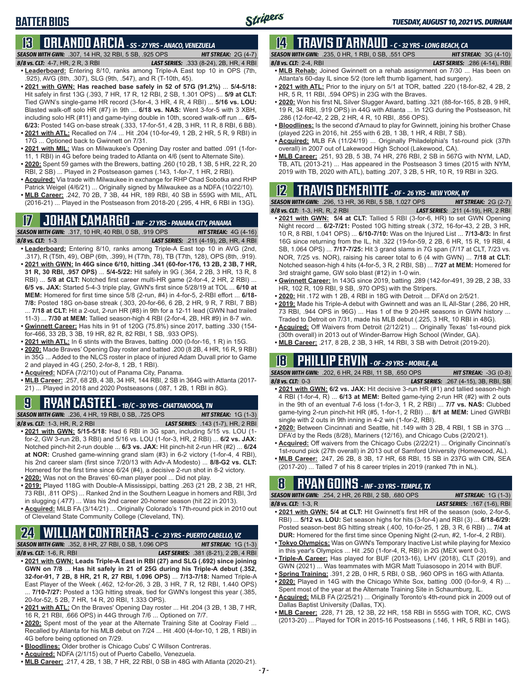# **BATTER BIOS**

# **13 ORLANDO ARCIA** *- SS - 27 YRS - ANACO, VENEZUELA*

*SEASON WITH GWN:*.307, 14 HR, 32 RBI, 5 SB, .925 OPS *HIT STREAK:* 2G (4-7)

*8/8 vs. CLT:*4-7, HR, 2 R, 3 RBI *LAST SERIES:* .333 (8-24), 2B, HR, 4 RBI

- **• Leaderboard:** Entering 8/10, ranks among Triple-A East top 10 in OPS (7th, .925), AVG (8th, .307), SLG (9th, .547), and R (T-10th, 45).
- **• 2021 with GWN: Has reached base safely in 52 of 57G (91.2%)** ... **5/4-5/18:**  Hit safely in first 13G (.393, 7 HR, 17 R, 12 RBI, 2 SB, 1.301 OPS) ... **5/9 at CLT:** Tied GWN's single-game HR record (3-for-4, 3 HR, 4 R, 4 RBI) ... **5/16 vs. LOU:** Blasted walk-off solo HR (#7) in 9th ... **6/18 vs. NAS:** Went 3-for-5 with 3 XBH, including solo HR (#11) and game-tying double in 10th, scored walk-off run ... **6/5- 6/23:** Posted 14G on-base streak (.333, 17-for-51, 4 2B, 3 HR, 11 R, 8 RBI, 6 BB).
- **• 2021 with ATL:** Recalled on 7/4 ... Hit .204 (10-for-49, 1 2B, 2 HR, 5 R, 9 RBI) in 17G ... Optioned back to Gwinnett on 7/31.
- **• 2021 with MIL:** Was on Milwaukee's Opening Day roster and batted .091 (1-for-11, 1 RBI) in 4G before being traded to Atlanta on 4/6 (sent to Alternate Site).
- **• 2020:** Spent 59 games with the Brewers, batting .260 (10 2B, 1 3B, 5 HR, 22 R, 20 RBI, 2 SB) ... Played in 2 Postseason games (.143, 1-for-7, 1 HR, 2 RBI).
- **• Acquired:** Via trade with Milwaukee in exchange for RHP Chad Sobotka and RHP Patrick Weigel (4/6/21) ... Originally signed by Milwaukee as a NDFA (10/22/10).
- **• MLB Career:** .242, 70 2B, 7 3B, 44 HR, 189 RBI, 40 SB in 559G with MIL, ATL (2016-21) ... Played in the Postseason from 2018-20 (.295, 4 HR, 6 RBI in 13G).

# **17 JOHAN CAMARGO** *- INF - 27 YRS - PANAMA CITY, PANAMA*

*SEASON WITH GWN:*.317, 10 HR, 40 RBI, 0 SB, .919 OPS *HIT STREAK:* 4G (4-16) *8/8 vs. CLT:* 1-3 *LAST SERIES:* .211 (4-19), 2B, HR, 4 RBI **• Leaderboard:** Entering 8/10, ranks among Triple-A East top 10 in AVG (2nd, .317), R (T5th, 49), OBP (6th, .399), H (T7th, 78), TB (T7th, 128), OPS (8th, .919). **• 2021 with GWN: In 46G since 6/10, hitting .341 (60-for-176, 13 2B, 2 3B, 7 HR,** 

- **31 R, 30 RBI, .957 OPS)** ... **5/4-5/22:** Hit safely in 9G (.364, 2 2B, 3 HR, 13 R, 8 RBI) ... **5/8 at CLT:** Notched first career multi-HR game (2-for-4, 2 HR, 2 RBI) ... **6/5 vs. JAX:** Started 5-4-3 triple play, GWN's first since 5/28/19 at TOL ... **6/10 at MEM:** Homered for first time since 5/8 (2-run, #4) in 4-for-5, 2-RBI effort ... **6/18- 7/8:** Posted 18G on-base streak (.303, 20-for-66, 6 2B, 2 HR, 9 R, 7 RBI, 7 BB) ... **7/18 at CLT:** Hit a 2-out, 2-run HR (#8) in 9th for a 12-11 lead (GWN had trailed
- 11-3) ... **7/30 at MEM:** Tallied season-high 4 RBI (2-for-4, 2B, HR #9) in 8-7 win. **• Gwinnett Career:** Has hits in 91 of 120G (75.8%) since 2017, batting .330 (154-
- for-466, 33 2B, 3 3B, 19 HR, 82 R, 82 RBI, 1 SB, .933 OPS). **• 2021 with ATL:** In 6 stints with the Braves, batting .000 (0-for-16, 1 R) in 15G.
- **• 2020:** Made Braves' Opening Day roster and batted .200 (8 2B, 4 HR, 16 R, 9 RBI) in 35G ... Added to the NLCS roster in place of injured Adam Duvall prior to Game 2 and played in 4G (.250, 2-for-8, 1 2B, 1 RBI).
- **• Acquired:** NDFA (7/2/10) out of Panama City, Panama.
- **• MLB Career:** .257, 68 2B, 4 3B, 34 HR, 144 RBI, 2 SB in 364G with Atlanta (2017- 21) ... Played in 2018 and 2020 Postseasons (.087, 1 2B, 1 RBI in 8G).

# **9 RYAN CASTEEL** *- 1B/C - 30 YRS - CHATTANOOGA, TN*

*SEASON WITH GWN:*.236, 4 HR, 19 RBI, 0 SB, .725 OPS *HIT STREAK:* 1G (1-3) *8/8 vs. CLT:*1-3, HR, R, 2 RBI *LAST SERIES:* .143 (1-7), HR, 2 RBI

- **• 2021 with GWN: 5/15-5/18:** Had 6 RBI in 3G span, including 5/15 vs. LOU (1 for-2, GW 3-run 2B, 3 RBI) and 5/16 vs. LOU (1-for-3, HR, 2 RBI) ... **6/2 vs. JAX:** Notched pinch-hit 2-run double ... **6/3 vs. JAX:** Hit pinch-hit 2-run HR (#2) ... **6/24 at NOR:** Crushed game-winning grand slam (#3) in 6-2 victory (1-for-4, 4 RBI), his 2nd career slam (first since 7/20/13 with Adv-A Modesto) ... **8/8-G2 vs. CLT:** Homered for the first time since 6/24 (#4), a decisive 2-run shot in 8-2 victory.
- **• 2020:** Was not on the Braves' 60-man player pool ... Did not play.
- **• 2019:** Played 118G with Double-A Mississippi, batting .263 (21 2B, 2 3B, 21 HR, 73 RBI, .811 OPS) ... Ranked 2nd in the Southern League in homers and RBI, 3rd in slugging (.477) ... Was his 2nd career 20-homer season (hit 22 in 2013).
- **• Acquired:** MiLB FA (3/14/21) ... Originally Colorado's 17th-round pick in 2010 out of Cleveland State Community College (Cleveland, TN).

# **24 WILLIAM CONTRERAS** *- C - 23 YRS - PUERTO CABELLO, VZ*

*SEASON WITH GWN:*.352, 8 HR, 27 RBI, 0 SB, 1.096 OPS *HIT STREAK:* 1G (1-3)

- *8/8 vs. CLT:* 1-6, R, RBI *LAST SERIES:* .381 (8-21), 2 2B, 4 RBI **• 2021 with GWN: Leads Triple-A East in RBI (27) and SLG (.692) since joining GWN on 7/8** ... **Has hit safely in 21 of 25G during his Triple-A debut (.352, 32-for-91, 7 2B, 8 HR, 21 R, 27 RBI, 1.096 OPS)** ... **7/13-7/18:** Named Triple-A East Player of the Week (.462, 12-for-26, 3 2B, 3 HR, 7 R, 12 RBI, 1.440 OPS) ... **7/10-7/27:** Posted a 13G hitting streak, tied for GWN's longest this year (.385, 20-for-52, 5 2B, 7 HR, 14 R, 20 RBI, 1.333 OPS).
- **• 2021 with ATL:** On the Braves' Opening Day roster ... Hit .204 (3 2B, 1 3B, 7 HR, 16 R, 21 RBI, .666 OPS) in 44G through 7/6 ... Optioned on 7/7.
- **• 2020:** Spent most of the year at the Alternate Training Site at Coolray Field ... Recalled by Atlanta for his MLB debut on 7/24 ... Hit .400 (4-for-10, 1 2B, 1 RBI) in 4G before being optioned on 7/29.
- **• Bloodlines:** Older brother is Chicago Cubs' C Willson Contreras.
- **• Acquired:** NDFA (2/1/15) out of Puerto Cabello, Venezuela.
- **• MLB Career:** .217, 4 2B, 1 3B, 7 HR, 22 RBI, 0 SB in 48G with Atlanta (2020-21).

#### **14 TRAVIS d'ARNAUD** *- C - 32 YRS - LONG BEACH, CA SEASON WITH GWN:*.235, 0 HR, 1 RBI, 0 SB, .551 OPS *HIT STREAK:* 3G (4-10)

*8/8 vs. CLT:*2-4, RBI *LAST SERIES:* .286 (4-14), RBI

- **• MLB Rehab:** Joined Gwinnett on a rehab assignment on 7/30 ... Has been on Atlanta's 60-day IL since 5/2 (tore left thumb ligament, had surgery).
- **• 2021 with ATL:** Prior to the injury on 5/1 at TOR, batted .220 (18-for-82, 4 2B, 2 HR, 5 R, 11 RBI, .594 OPS) in 23G with the Braves.
- **• 2020:** Won his first NL Silver Slugger Award, batting .321 (88-for-165, 8 2B, 9 HR, 19 R, 34 RBI, .919 OPS) in 44G with Atlanta ... In 12G during the Postseason, hit .286 (12-for-42, 2 2B, 2 HR, 4 R, 10 RBI, .856 OPS).
- **• Bloodlines:** Is the second d'Arnaud to play for Gwinnett, joining his brother Chase (played 22G in 2016, hit .255 with 6 2B, 1 3B, 1 HR, 4 RBI, 7 SB).
- **• Acquired:** MLB FA (11/24/19) ... Originally Philadelphia's 1st-round pick (37th overall) in 2007 out of Lakewood High School (Lakewood, CA).
- **• MLB Career:** .251, 93 2B, 5 3B, 74 HR, 276 RBI, 2 SB in 567G with NYM, LAD, TB, ATL (2013-21) ... Has appeared in the Postseason 3 times (2015 with NYM, 2019 with TB, 2020 with ATL), batting .207, 3 2B, 5 HR, 10 R, 19 RBI in 32G.

## **12 TRAVIS DEMERITTE** *- OF - 26 YRS - NEW YORK, NY*

*SEASON WITH GWN:*.296, 13 HR, 36 RBI, 5 SB, 1.027 OPS *HIT STREAK:* 2G (2-7)

- *8/8 vs. CLT:*1-3, HR, R, 2 RBI *LAST SERIES:* .211 (4-19), HR, 2 RBI **• 2021 with GWN: 5/4 at CLT:** Tallied 5 RBI (3-for-6, HR) to set GWN Opening Night record ... **6/2-7/21:** Posted 10G hitting streak (.372, 16-for-43, 2 2B, 3 HR, 10 R, 8 RBI, 1.041 OPS) ... **6/10-7/10:** Was on the Injured List ... **7/13-8/3:** In first 16G since returning from the IL, hit .322 (19-for-59, 2 2B, 6 HR, 15 R, 19 RBI, 4 SB, 1.064 OPS) ... **7/17-7/25:** Hit 3 grand slams in 7G span (7/17 at CLT, 7/23 vs. NOR, 7/25 vs. NOR), raising his career total to 6 (4 with GWN) ... **7/18 at CLT:** Notched season-high 4 hits (4-for-5, 3 R, 2 RBI, SB) ... **7/27 at MEM:** Homered for 3rd straight game, GW solo blast (#12) in 1-0 win.
- **• Gwinnett Career:** In 143G since 2019, batting .289 (142-for-491, 39 2B, 2 3B, 33 HR, 102 R, 109 RBI, 9 SB, .970 OPS) with the Stripers.
- **• 2020:** Hit .172 with 1 2B, 4 RBI in 18G with Detroit ... DFA'd on 2/5/21.
- **• 2019:** Made his Triple-A debut with Gwinnett and was an IL All-Star (.286, 20 HR, 73 RBI, .944 OPS in 96G) ... Has 1 of the 9 20-HR seasons in GWN history ... Traded to Detroit on 7/31, made his MLB debut (.225, 3 HR, 10 RBI in 48G).
- **• Acquired:** Off Waivers from Detroit (2/12/21) ... Originally Texas' 1st-round pick (30th overall) in 2013 out of Winder-Barrow High School (Winder, GA).
- **• MLB Career:** .217, 8 2B, 2 3B, 3 HR, 14 RBI, 3 SB with Detroit (2019-20).

## **18 PHILLIP ERVIN** *- OF - 29 YRS - MOBILE, AL*

*SEASON WITH GWN:*.202, 6 HR, 24 RBI, 11 SB, .650 OPS *HIT STREAK:* -3G (0-8)

- *8/8 vs. CLT:*0-3 *LAST SERIES:* .267 (4-15), 3B, RBI, SB **• 2021 with GWN: 6/2 vs. JAX:** Hit decisive 3-run HR (#1) and tallied season-high 4 RBI (1-for-4, R) ... **6/13 at MEM:** Belted game-tying 2-run HR (#2) with 2 outs in the 9th of an eventual 7-6 loss (1-for-3, 1 R, 2 RBI) ... **7/7 vs. NAS:** Clubbed game-tying 2-run pinch-hit HR (#5, 1-for-1, 2 RBI) ... **8/1 at MEM:** Lined GWRBI single with 2 outs in 9th inning in 4-2 win (1-for-2, RBI).
- **• 2020:** Between Cincinnati and Seattle, hit .149 with 3 2B, 4 RBI, 1 SB in 37G ... DFA'd by the Reds (8/28), Mariners (12/16), and Chicago Cubs (2/20/21).
- **• Acquired:** Off waivers from the Chicago Cubs (2/22/21) ... Originally Cincinnati's 1st-round pick (27th overall) in 2013 out of Samford University (Homewood, AL).
- **• MLB Career:** .247, 26 2B, 8 3B, 17 HR, 68 RBI, 15 SB in 237G with CIN, SEA (2017-20) ... Talled 7 of his 8 career triples in 2019 (ranked 7th in NL).

#### **8 RYAN GOINS** *- INF - 33 YRS - TEMPLE, TX SEASON WITH GWN:*.254, 2 HR, 26 RBI, 2 SB, .680 OPS *HIT STREAK:* 1G (1-3)

| 8/8 vs. CLT: 1-3. R                                                                | <b>LAST SERIES:</b> .167 (1-6), RBI |
|------------------------------------------------------------------------------------|-------------------------------------|
| • 2021 with GWN: 5/4 at CLT: Hit Gwinnett's first HR of the season (solo, 2-for-5, |                                     |
| RBI)  5/12 vs. LOU: Set season highs for hits (3-for-4) and RBI (3)  6/18-6/29:    |                                     |
| Posted season-best 8G hitting streak (.400, 10-for-25, 1 2B, 3 R, 6 RBI)  7/4 at   |                                     |

- **DUR:** Homered for the first time since Opening Night (2-run, #2, 1-for-4, 2 RBI). **• Tokyo Olympics:** Was on GWN's Temporary Inactive List while playing for Mexico
- in this year's Olympics ... Hit .250 (1-for-4, R, RBI) in 2G (MEX went 0-3). **• Triple-A Career:** Has played for BUF (2013-16), LHV (2018), CLT (2019), and
- GWN (2021) ... Was teammates with MGR Matt Tuiasosopo in 2014 with BUF. **• Spring Training:** .391, 2 2B, 0 HR, 5 RBI, 0 SB, .960 OPS in 16G with Atlanta.
- 
- **• 2020:** Played in 14G with the Chicago White Sox, batting .000 (0-for-9, 4 R) ... Spent most of the year at the Alternate Training Site in Schaumburg, IL.
- **• Acquired:** MiLB FA (2/25/21) ... Originally Toronto's 4th-round pick in 2009 out of Dallas Baptist University (Dallas, TX).
- **• MLB Career:** .228, 71 2B, 12 3B, 22 HR, 158 RBI in 555G with TOR, KC, CWS (2013-20) ... Played for TOR in 2015-16 Postseasons (.146, 1 HR, 5 RBI in 14G).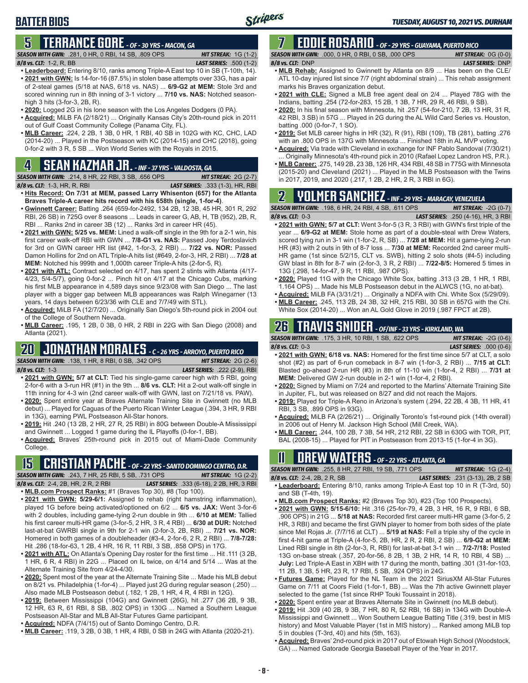# **5 TERRANCE GORE** *- OF - 30 YRS - MACON, GA*

*SEASON WITH GWN:*.281, 0 HR, 0 RBI, 14 SB, .809 OPS *HIT STREAK:* 1G (1-2) *8/8 vs. CLT:*1-2, R, BB *LAST SERIES:* .500 (1-2)

- **• Leaderboard:** Entering 8/10, ranks among Triple-A East top 10 in SB (T-10th, 14). **• 2021 with GWN:** Is 14-for-16 (87.5%) in stolen base attempts over 33G, has a pair of 2-steal games (5/18 at NAS, 6/18 vs. NAS) ... **6/9-G2 at MEM:** Stole 3rd and scored winning run in 8th inning of 3-1 victory ... **7/10 vs. NAS:** Notched seasonhigh 3 hits (3-for-3, 2B, R).
- **• 2020:** Logged 2G in his lone season with the Los Angeles Dodgers (0 PA).
- **• Acquired:** MiLB FA (2/18/21) ... Originally Kansas City's 20th-round pick in 2011 out of Gulf Coast Community College (Panama City, FL).
- **• MLB Career:** .224, 2 2B, 1 3B, 0 HR, 1 RBI, 40 SB in 102G with KC, CHC, LAD (2014-20) ... Played in the Postseason with KC (2014-15) and CHC (2018), going 0-for-2 with 3 R, 5 SB ... Won World Series with the Royals in 2015.

# **4 SEAN KAZMAR JR.** *- INF - 37 YRS - VALDOSTA, GA*

*SEASON WITH GWN:*.214, 8 HR, 22 RBI, 3 SB, .656 OPS *HIT STREAK:* 2G (2-7)

- *8/8 vs. CLT:*1-3, HR, R, RBI *LAST SERIES:* .333 (1-3), HR, RBI **• Hits Record: On 7/31 at MEM, passed Larry Whisenton (657) for the Atlanta Braves Triple-A career hits record with his 658th (single, 1-for-4)**.
- **• Gwinnett Career:** Batting .264 (659-for-2492, 134 2B, 12 3B, 45 HR, 301 R, 292 RBI, 26 SB) in 725G over 8 seasons ... Leads in career G, AB, H, TB (952), 2B, R, RBI ... Ranks 2nd in career 3B (12) ... Ranks 3rd in career HR (45).
- **• 2021 with GWN: 5/25 vs. MEM:** Lined a walk-off single in the 9th for a 2-1 win, his first career walk-off RBI with GWN ... **7/8-G1 vs. NAS:** Passed Joey Terdoslavich for 3rd on GWN career HR list (#42, 1-for-3, 2 RBI) ... **7/22 vs. NOR:** Passed Damon Hollins for 2nd on ATL Triple-A hits list (#649, 2-for-3, HR, 2 RBI) ... **7/28 at MEM:** Notched his 999th and 1,000th career Triple-A hits (2-for-5, R).
- **• 2021 with ATL:** Contract selected on 4/17, has spent 2 stints with Atlanta (4/17- 4/23, 5/4-5/7), going 0-for-2 ... Pinch hit on 4/17 at the Chicago Cubs, marking his first MLB appearance in 4,589 days since 9/23/08 with San Diego ... The last player with a bigger gap between MLB appearances was Ralph Winegarner (13 years, 14 days between 6/23/36 with CLE and 7/7/49 with STL).
- **• Acquired:** MiLB FA (12/7/20) ... Originally San Diego's 5th-round pick in 2004 out of the College of Southern Nevada.
- **• MLB Career:** .195, 1 2B, 0 3B, 0 HR, 2 RBI in 22G with San Diego (2008) and Atlanta (2021).

# **20 JONATHAN MORALES** *- C - 26 YRS - ARROYO, PUERTO RICO*

*SEASON WITH GWN:*.138, 1 HR, 8 RBI, 0 SB, .342 OPS *HIT STREAK:* 2G (2-6)

- *8/8 vs. CLT:*1-3 *LAST SERIES:* .222 (2-9), RBI **• 2021 with GWN: 5/7 at CLT:** Tied his single-game career high with 5 RBI, going 2-for-6 with a 3-run HR (#1) in the 9th ... **8/6 vs. CLT:** Hit a 2-out walk-off single in 11th inning for 4-3 win (2nd career walk-off with GWN, last on 7/21/18 vs. PAW).
- **• 2020:** Spent entire year at Braves Alternate Training Site in Gwinnett (no MLB debut) ... Played for Caguas of the Puerto Rican Winter League (.394, 3 HR, 9 RBI in 13G), earning PWL Postseason All-Star honors.
- **• 2019:** Hit .240 (13 2B, 2 HR, 27 R, 25 RBI) in 80G between Double-A Mississippi and Gwinnett ... Logged 1 game during the IL Playoffs (0-for-1, BB).
- **• Acquired:** Braves' 25th-round pick in 2015 out of Miami-Dade Community College.

# **15 CRISTIAN PACHE** *- OF - 22 YRS - SANTO DOMINGO CENTRO, D.R.*

*SEASON WITH GWN:*.243, 7 HR, 25 RBI, 5 SB, .731 OPS *HIT STREAK:* 1G (2-2) *8/8 vs. CLT:* 2-4, 2B, HR, 2 R, 2 RBI *LAST SERIES:* .333 (6-18), 2 2B, HR, 3 RBI

- **• MLB.com Prospect Ranks:** #1 (Braves Top 30), #8 (Top 100). **• 2021 with GWN: 5/29-6/1:** Assigned to rehab (right hamstring inflammation), played 1G before being activated/optioned on 6/2 ... **6/5 vs. JAX:** Went 3-for-6 with 2 doubles, including game-tying 2-run double in 9th ... **6/10 at MEM:** Tallied his first career multi-HR game (3-for-5, 2 HR, 3 R, 4 RBI) ... **6/30 at DUR:** Notched last-at-bat GWRBI single in 9th for 2-1 win (2-for-3, 2B, RBI) ... **7/21 vs. NOR:** Homered in both games of a doubleheader (#3-4, 2-for-6, 2 R, 2 RBI) ... **7/8-7/28:**
- Hit .286 (18-for-63, 1 2B, 4 HR, 16 R, 11 RBI, 3 SB, .858 OPS) in 17G. **• 2021 with ATL:** On Atlanta's Opening Day roster for the first time ... Hit .111 (3 2B, 1 HR, 6 R, 4 RBI) in 22G ... Placed on IL twice, on 4/14 and 5/14 ... Was at the Alternate Training Site from 4/24-4/30.
- **• 2020:** Spent most of the year at the Alternate Training Site ... Made his MLB debut on 8/21 vs. Philadelphia (1-for-4) ... Played just 2G during regular season (.250) ... Also made MLB Postseason debut (.182, 1 2B, 1 HR, 4 R, 4 RBI in 12G).
- **• 2019:** Between Mississippi (104G) and Gwinnett (26G), hit .277 (36 2B, 9 3B, 12 HR, 63 R, 61 RBI, 8 SB, .802 OPS) in 130G ... Named a Southern League Postseason All-Star and MLB All-Star Futures Game participant.
- **• Acquired:** NDFA (7/4/15) out of Santo Domingo Centro, D.R.
- **• MLB Career:** .119, 3 2B, 0 3B, 1 HR, 4 RBI, 0 SB in 24G with Atlanta (2020-21).

### **7 EDDIE ROSARIO** *- OF - 29 YRS - GUAYAMA, PUERTO RICO SEASON WITH GWN:*.000, 0 HR, 0 RBI, 0 SB, .000 OPS *HIT STREAK:* 0G (0-0)

## *8/8 vs. CLT:* DNP *LAST SERIES:* DNP

- **• MLB Rehab:** Assigned to Gwinnett by Atlanta on 8/9 ... Has been on the CLE/ ATL 10-day injured list since 7/7 (right abdominal strain) ... This rehab assignment marks his Braves organization debut.
- **• 2021 with CLE:** Signed a MLB free agent deal on 2/4 ... Played 78G with the Indians, batting .254 (72-for-283, 15 2B, 1 3B, 7 HR, 29 R, 46 RBI, 9 SB).
- **• 2020:** In his final season with Minnesota, hit .257 (54-for-210, 7 2B, 13 HR, 31 R, 42 RBI, 3 SB) in 57G ... Played in 2G during the AL Wild Card Series vs. Houston, batting .000 (0-for-7, 1 SO).
- **• 2019:** Set MLB career highs in HR (32), R (91), RBI (109), TB (281), batting .276 with an .800 OPS in 137G with Minnesota ... Finished 18th in AL MVP voting.
- **• Acquired:** Via trade with Cleveland in exchange for INF Pablo Sandoval (7/30/21) Originally Minnesota's 4th-round pick in 2010 (Rafael Lopez Landron HS, P.R.).
- **• MLB Career:** .275, 149 2B, 23 3B, 126 HR, 434 RBI, 48 SB in 775G with Minnesota (2015-20) and Cleveland (2021) ... Played in the MLB Postseason with the Twins in 2017, 2019, and 2020 (.217, 1 2B, 2 HR, 2 R, 3 RBI in 6G).

# **2 YOLMER SANCHEZ** *- INF - 29 YRS - MARACAY, VENEZUELA*

*SEASON WITH GWN:*.198, 6 HR, 24 RBI, 4 SB, .611 OPS *HIT STREAK:* -2G (0-7)

- *8/8 vs. CLT:*0-3 *LAST SERIES:* .250 (4-16), HR, 3 RBI **• 2021 with GWN: 5/7 at CLT:** Went 3-for-5 (3 R, 3 RBI) with GWN's first triple of the year ... **6/9-G2 at MEM:** Stole home as part of a double-steal with Drew Waters, scored tying run in 3-1 win (1-for-2, R, SB) ... **7/28 at MEM:** Hit a game-tying 2-run HR (#3) with 2 outs in 9th of 8-7 loss ... **7/30 at MEM:** Recorded 2nd career multi-HR game (1st since 5/2/15, CLT vs. SWB), hitting 2 solo shots (#4-5) including GW blast in 8th for 8-7 win (2-for-3, 3 R, 2 RBI) ... **7/22-8/5:** Homered 5 times in 13G (.298, 14-for-47, 9 R, 11 RBI, .987 OPS).
- **• 2020:** Played 11G with the Chicago White Sox, batting .313 (3 2B, 1 HR, 1 RBI, 1.164 OPS) ... Made his MLB Postseason debut in the ALWCS (1G, no at-bat).
- **• Acquired:** MiLB FA (3/31/21) ... Originally a NDFA with Chi. White Sox (5/29/09). **• MLB Career:** .245, 113 2B, 24 3B, 32 HR, 215 RBI, 30 SB in 657G with the Chi.
- White Sox (2014-20) ... Won an AL Gold Glove in 2019 (.987 FPCT at 2B).

## **26 TRAVIS SNIDER** *- OF/INF - 33 YRS - KIRKLAND, WA*

*SEASON WITH GWN:*.175, 3 HR, 10 RBI, 1 SB, .622 OPS *HIT STREAK:* -2G (0-6)

- *8/8 vs. CLT:* 0-3 *LAST SERIES:* .000 (0-6) **• 2021 with GWN: 6/18 vs. NAS:** Homered for the first time since 5/7 at CLT, a solo shot (#2) as part of 6-run comeback in 8-7 win (1-for-3, 2 RBI) ... **7/15 at CLT:** Blasted go-ahead 2-run HR (#3) in 8th of 11-10 win (1-for-4, 2 RBI) ... **7/31 at MEM:** Delivered GW 2-run double in 2-1 win (1-for-4, 2 RBI).
- **• 2020:** Signed by Miami on 7/24 and reported to the Marlins' Alternate Training Site in Jupiter, FL, but was released on 8/27 and did not reach the Majors.
- **• 2019:** Played for Triple-A Reno in Arizona's system (.294, 22 2B, 4 3B, 11 HR, 41 RBI, 3 SB, .899 OPS in 93G).
- **• Acquired:** MiLB FA (2/26/21) ... Originally Toronto's 1st-round pick (14th overall) in 2006 out of Henry M. Jackson High School (Mill Creek, WA).
- **• MLB Career:** .244, 100 2B, 7 3B, 54 HR, 212 RBI, 22 SB in 630G with TOR, PIT, BAL (2008-15) ... Played for PIT in Postseason from 2013-15 (1-for-4 in 3G).

# **11 Drew WATERS** *- OF - 22 YRS - ATLANTA, GA*

| <b>SEASON WITH GWN:</b> .255. 8 HR. 27 RBI. 19 SB. .771 OPS . | <b>HIT STREAK:</b> $1G(2-4)$              |  |
|---------------------------------------------------------------|-------------------------------------------|--|
| 8/8 vs. CLT: 2-4, 2B, 2 R, SB                                 | <b>LAST SERIES:</b> .231 (3-13), 2B, 2 SB |  |

- **• Leaderboard:** Entering 8/10, ranks among Triple-A East top 10 in R (T-3rd, 50) and SB (T-4th, 19).
- **• MLB.com Prospect Ranks:** #2 (Braves Top 30), #23 (Top 100 Prospects).
- **• 2021 with GWN: 5/15-6/10:** Hit .316 (25-for-79, 4 2B, 3 HR, 16 R, 9 RBI, 6 SB, .906 OPS) in 21G ... **5/18 at NAS:** Recorded first career multi-HR game (3-for-5, 2 HR, 3 RBI) and became the first GWN player to homer from both sides of the plate since Mel Rojas Jr. (7/7/16 at CLT) ... **5/19 at NAS:** Fell a triple shy of the cycle in first 4-hit game at Triple-A (4-for-5, 2B, HR, 2 R, 2 RBI, 2 SB) ... **6/9-G2 at MEM:** Lined RBI single in 8th (2-for-3, R, RBI) for last-at-bat 3-1 win ... **7/2-7/18:** Posted 13G on-base streak (.357, 20-for-56, 8 2B, 1 3B, 2 HR, 14 R, 10 RBI, 4 SB) ... **July:** Led Triple-A East in XBH with 17 during the month, batting .301 (31-for-103, 11 2B, 1 3B, 5 HR, 23 R, 17 RBI, 5 SB, .924 OPS) in 24G.
- **• Futures Game:** Played for the NL Team in the 2021 SiriusXM All-Star Futures Game on 7/11 at Coors Field (1-for-1, BB) ... Was the 7th active Gwinnett player selected to the game (1st since RHP Touki Toussaint in 2018).
- **• 2020:** Spent entire year at Braves Alternate Site in Gwinnett (no MLB debut).
- **• 2019:** Hit .309 (40 2B, 9 3B, 7 HR, 80 R, 52 RBI, 16 SB) in 134G with Double-A Mississippi and Gwinnett ... Won Southern League Batting Title (.319, best in MIS history) and Most Valuable Player (1st in MIS history) ... Ranked among MiLB top 5 in doubles (T-3rd, 40) and hits (5th, 163).
- **• Acquired:** Braves' 2nd-round pick in 2017 out of Etowah High School (Woodstock, GA) ... Named Gatorade Georgia Baseball Player of the Year in 2017.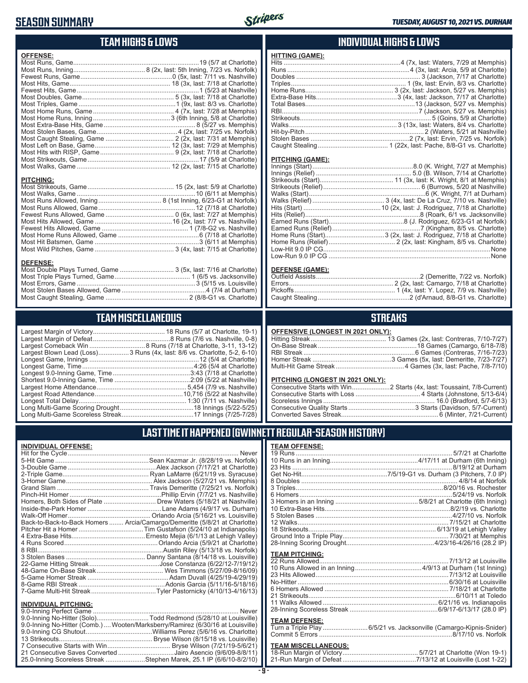## **SEASON SUMMARY**



## **TEAM HIGHS & LOWS**

| <b>OFFENSE:</b>  |  |
|------------------|--|
|                  |  |
|                  |  |
|                  |  |
|                  |  |
|                  |  |
|                  |  |
|                  |  |
|                  |  |
|                  |  |
|                  |  |
|                  |  |
|                  |  |
|                  |  |
|                  |  |
|                  |  |
|                  |  |
|                  |  |
| <b>PITCHING:</b> |  |
|                  |  |
|                  |  |
|                  |  |
|                  |  |
|                  |  |
|                  |  |
|                  |  |
|                  |  |
|                  |  |

#### **DEFENSE:**

| --------                                                        |  |
|-----------------------------------------------------------------|--|
| Most Double Plays Turned, Game  3 (5x, last: 7/16 at Charlotte) |  |
|                                                                 |  |
|                                                                 |  |
|                                                                 |  |
|                                                                 |  |
|                                                                 |  |

Most Wild Pitches, Game ............................................ 3 (4x, last: 7/15 at Charlotte)

# **TEAM MISCELLANEOUS**

| Largest Blown Lead (Loss) 3 Runs (4x, last: 8/6 vs. Charlotte, 5-2, 6-10) |
|---------------------------------------------------------------------------|
|                                                                           |
|                                                                           |
|                                                                           |
|                                                                           |
|                                                                           |
|                                                                           |
|                                                                           |
|                                                                           |
|                                                                           |
|                                                                           |

## **INDIVIDUAL HIGHS & LOWS**

| <b>HITTING (GAME):</b> |                                                                   |
|------------------------|-------------------------------------------------------------------|
|                        | Hits ……………………………………………………………4 (7x, last: Waters, 7/29 at Memphis) |
|                        |                                                                   |
|                        |                                                                   |
|                        |                                                                   |
|                        |                                                                   |
|                        |                                                                   |
|                        |                                                                   |
|                        |                                                                   |
|                        |                                                                   |
|                        |                                                                   |
|                        |                                                                   |
|                        |                                                                   |
|                        |                                                                   |
|                        |                                                                   |

#### **PITCHING (GAME):**

| None |
|------|
|      |

#### **DEFENSE (GAME):**

## **STREAKS**

#### **OFFENSIVE (LONGEST IN 2021 ONLY):**

#### **PITCHING (LONGEST IN 2021 ONLY):**

| <u>THE MINE (2010201 IN 2021 ONE I II</u> |  |
|-------------------------------------------|--|
|                                           |  |
|                                           |  |
|                                           |  |
|                                           |  |
|                                           |  |
|                                           |  |

## **LAST TIME IT HAPPENED (GWINNETT REGULAR-SEASON HISTORY)**

#### **INDIVIDUAL OFFENSE:**

|                                                        | Homers, Both Sides of Plate  Drew Waters (5/18/21 at Nashville)            |
|--------------------------------------------------------|----------------------------------------------------------------------------|
|                                                        |                                                                            |
|                                                        |                                                                            |
|                                                        | Back-to-Back-to-Back Homers  Arcia/Camargo/Demeritte (5/8/21 at Charlotte) |
|                                                        |                                                                            |
|                                                        |                                                                            |
|                                                        |                                                                            |
|                                                        |                                                                            |
|                                                        |                                                                            |
|                                                        |                                                                            |
|                                                        |                                                                            |
|                                                        |                                                                            |
|                                                        |                                                                            |
|                                                        |                                                                            |
|                                                        |                                                                            |
| <b>INDIVIDUAL PITCHING:</b><br>0.0 Inning Porfoot Camo | Novor                                                                      |
|                                                        |                                                                            |

| 9.0-Inning No-Hitter (Solo)Todd Redmond (5/28/10 at Louisville)                 |  |
|---------------------------------------------------------------------------------|--|
| 9.0-Inning No-Hitter (Comb.)  Wooten/Marksberry/Ramirez (6/30/16 at Louisville) |  |
|                                                                                 |  |
|                                                                                 |  |
|                                                                                 |  |
| 21 Consecutive Saves Converted Jairo Asencio (9/6/09-8/8/11)                    |  |
| 25.0-Inning Scoreless Streak Stephen Marek, 25.1 IP (6/6/10-8/2/10)             |  |
|                                                                                 |  |

#### **TEAM OFFENSE:**

|                       | 12 Walks………………………………………………………………………7/15/21 at Charlotte |
|-----------------------|---------------------------------------------------------|
|                       |                                                         |
|                       |                                                         |
|                       |                                                         |
| <b>TEAM PITCHING:</b> |                                                         |
|                       |                                                         |
|                       |                                                         |
|                       |                                                         |
|                       |                                                         |
|                       |                                                         |
|                       |                                                         |
|                       |                                                         |
|                       |                                                         |

#### **TEAM DEFENSE:**

| Turn a Triple Play 6/5/21 vs. Jacksonville (Camargo-Kipnis-Snider) |
|--------------------------------------------------------------------|
|                                                                    |

| <b>TEAM MISCELLANEOUS:</b> |  |
|----------------------------|--|
|                            |  |
|                            |  |